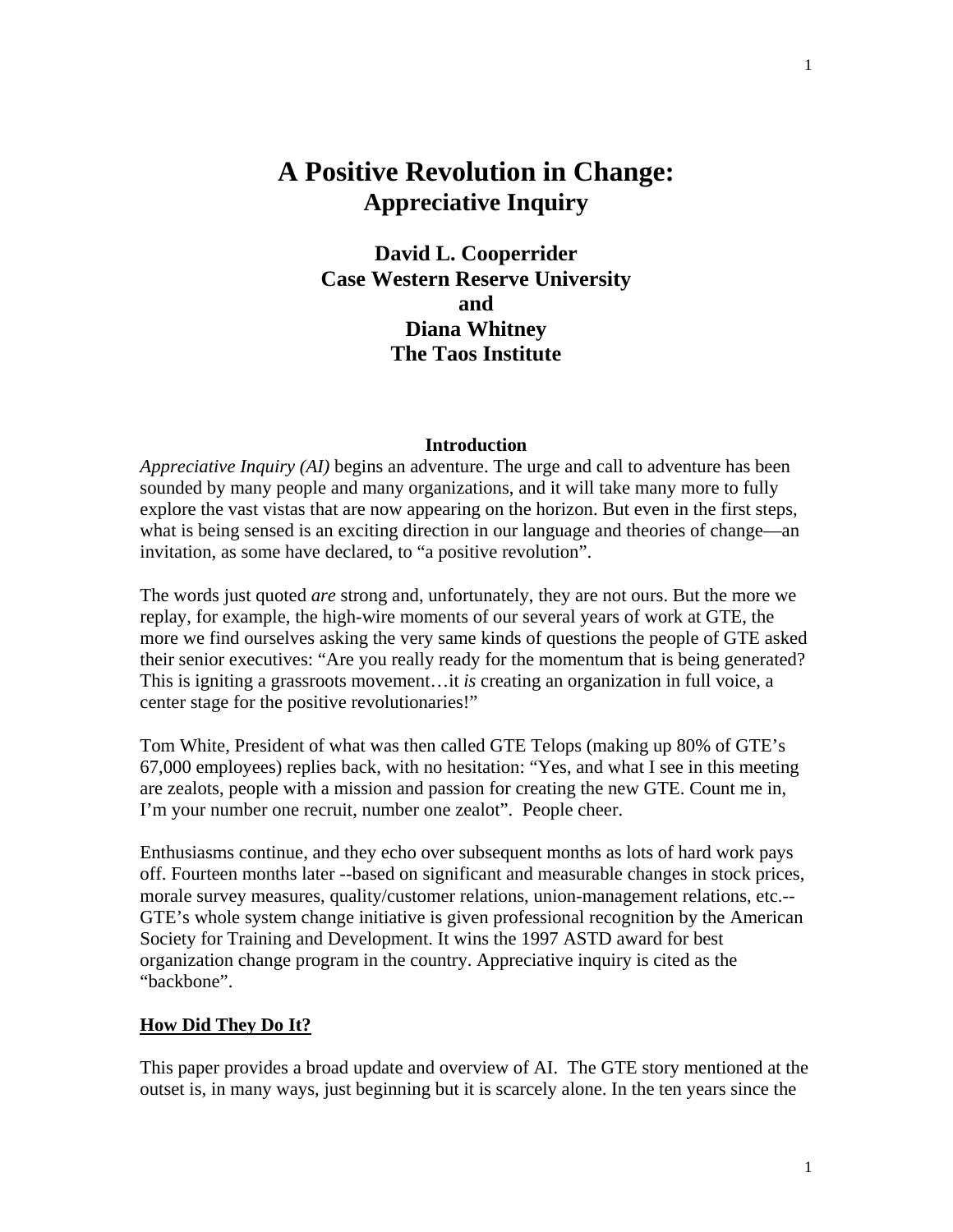# **A Positive Revolution in Change: Appreciative Inquiry**

**David L. Cooperrider Case Western Reserve University and Diana Whitney The Taos Institute** 

#### **Introduction**

*Appreciative Inquiry (AI)* begins an adventure. The urge and call to adventure has been sounded by many people and many organizations, and it will take many more to fully explore the vast vistas that are now appearing on the horizon. But even in the first steps, what is being sensed is an exciting direction in our language and theories of change—an invitation, as some have declared, to "a positive revolution".

The words just quoted *are* strong and, unfortunately, they are not ours. But the more we replay, for example, the high-wire moments of our several years of work at GTE, the more we find ourselves asking the very same kinds of questions the people of GTE asked their senior executives: "Are you really ready for the momentum that is being generated? This is igniting a grassroots movement…it *is* creating an organization in full voice, a center stage for the positive revolutionaries!"

Tom White, President of what was then called GTE Telops (making up 80% of GTE's 67,000 employees) replies back, with no hesitation: "Yes, and what I see in this meeting are zealots, people with a mission and passion for creating the new GTE. Count me in, I'm your number one recruit, number one zealot". People cheer.

Enthusiasms continue, and they echo over subsequent months as lots of hard work pays off. Fourteen months later --based on significant and measurable changes in stock prices, morale survey measures, quality/customer relations, union-management relations, etc.-- GTE's whole system change initiative is given professional recognition by the American Society for Training and Development. It wins the 1997 ASTD award for best organization change program in the country. Appreciative inquiry is cited as the "backbone".

#### **How Did They Do It?**

This paper provides a broad update and overview of AI. The GTE story mentioned at the outset is, in many ways, just beginning but it is scarcely alone. In the ten years since the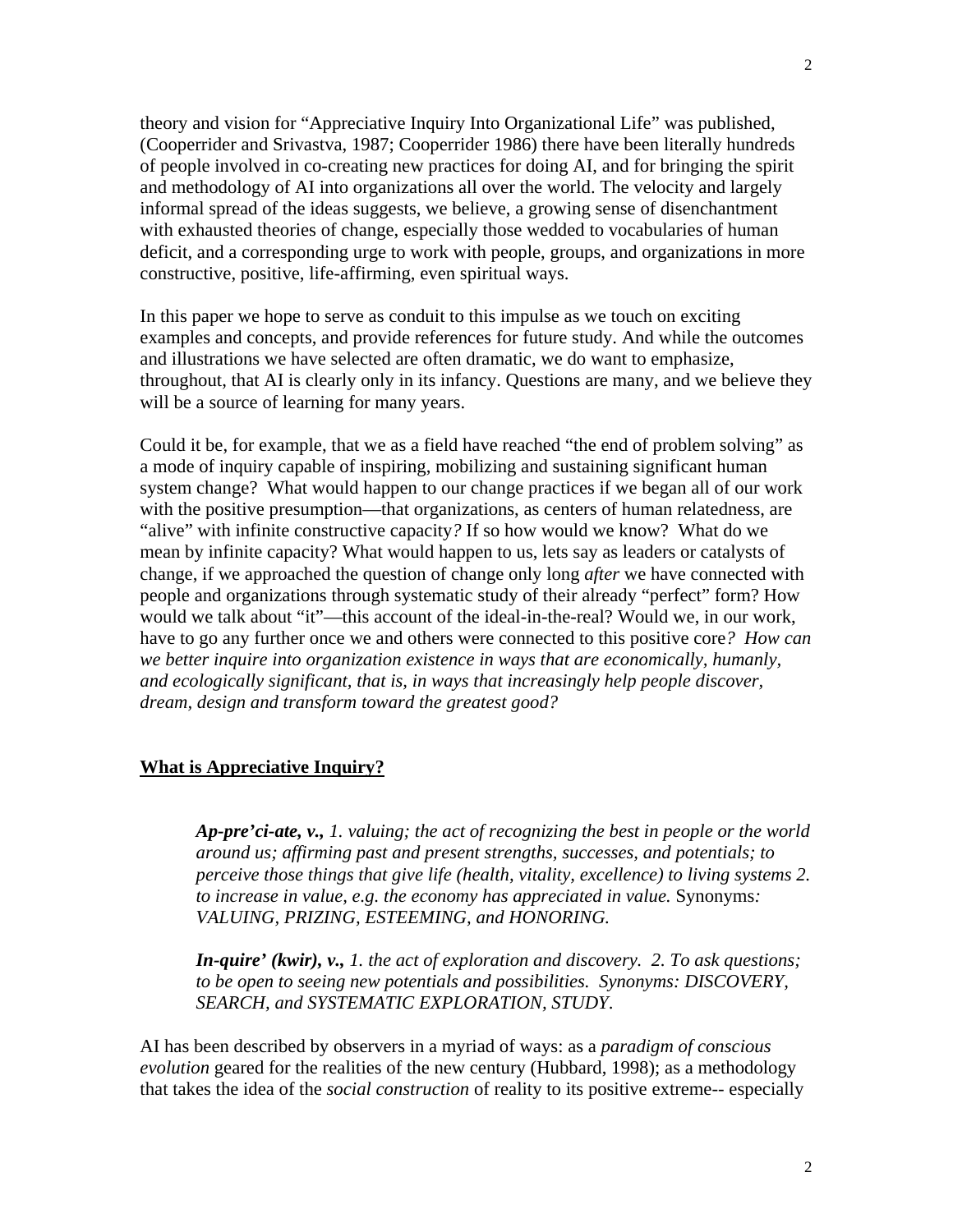theory and vision for "Appreciative Inquiry Into Organizational Life" was published, (Cooperrider and Srivastva, 1987; Cooperrider 1986) there have been literally hundreds of people involved in co-creating new practices for doing AI, and for bringing the spirit and methodology of AI into organizations all over the world. The velocity and largely informal spread of the ideas suggests, we believe, a growing sense of disenchantment with exhausted theories of change, especially those wedded to vocabularies of human deficit, and a corresponding urge to work with people, groups, and organizations in more constructive, positive, life-affirming, even spiritual ways.

In this paper we hope to serve as conduit to this impulse as we touch on exciting examples and concepts, and provide references for future study. And while the outcomes and illustrations we have selected are often dramatic, we do want to emphasize, throughout, that AI is clearly only in its infancy. Questions are many, and we believe they will be a source of learning for many years.

Could it be, for example, that we as a field have reached "the end of problem solving" as a mode of inquiry capable of inspiring, mobilizing and sustaining significant human system change? What would happen to our change practices if we began all of our work with the positive presumption—that organizations, as centers of human relatedness, are "alive" with infinite constructive capacity*?* If so how would we know? What do we mean by infinite capacity? What would happen to us, lets say as leaders or catalysts of change, if we approached the question of change only long *after* we have connected with people and organizations through systematic study of their already "perfect" form? How would we talk about "it"—this account of the ideal-in-the-real? Would we, in our work, have to go any further once we and others were connected to this positive core*? How can we better inquire into organization existence in ways that are economically, humanly, and ecologically significant, that is, in ways that increasingly help people discover, dream, design and transform toward the greatest good?* 

#### **What is Appreciative Inquiry?**

 *Ap-pre'ci-ate, v., 1. valuing; the act of recognizing the best in people or the world around us; affirming past and present strengths, successes, and potentials; to perceive those things that give life (health, vitality, excellence) to living systems 2. to increase in value, e.g. the economy has appreciated in value.* Synonyms*: VALUING, PRIZING, ESTEEMING, and HONORING.* 

 *In-quire' (kwir), v., 1. the act of exploration and discovery. 2. To ask questions; to be open to seeing new potentials and possibilities. Synonyms: DISCOVERY, SEARCH, and SYSTEMATIC EXPLORATION, STUDY*.

AI has been described by observers in a myriad of ways: as a *paradigm of conscious evolution* geared for the realities of the new century (Hubbard, 1998); as a methodology that takes the idea of the *social construction* of reality to its positive extreme-- especially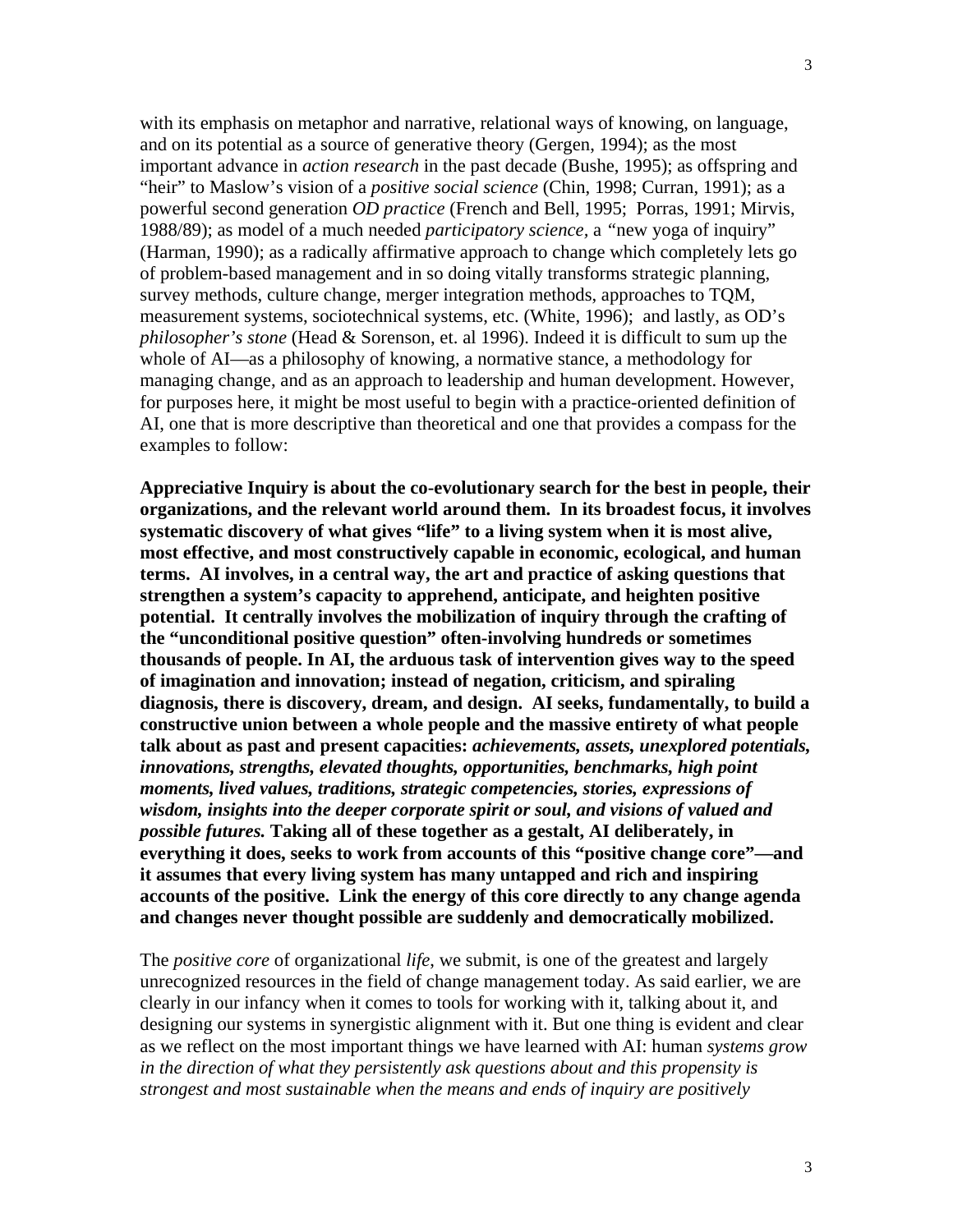with its emphasis on metaphor and narrative, relational ways of knowing, on language, and on its potential as a source of generative theory (Gergen, 1994); as the most important advance in *action research* in the past decade (Bushe, 1995); as offspring and "heir" to Maslow's vision of a *positive social science* (Chin, 1998; Curran, 1991); as a powerful second generation *OD practice* (French and Bell, 1995; Porras, 1991; Mirvis, 1988/89); as model of a much needed *participatory science,* a *"*new yoga of inquiry" (Harman, 1990); as a radically affirmative approach to change which completely lets go of problem-based management and in so doing vitally transforms strategic planning, survey methods, culture change, merger integration methods, approaches to TQM, measurement systems, sociotechnical systems, etc. (White, 1996); and lastly, as OD's *philosopher's stone* (Head & Sorenson, et. al 1996). Indeed it is difficult to sum up the whole of AI—as a philosophy of knowing, a normative stance, a methodology for managing change, and as an approach to leadership and human development. However, for purposes here, it might be most useful to begin with a practice-oriented definition of AI, one that is more descriptive than theoretical and one that provides a compass for the examples to follow:

**Appreciative Inquiry is about the co-evolutionary search for the best in people, their organizations, and the relevant world around them. In its broadest focus, it involves systematic discovery of what gives "life" to a living system when it is most alive, most effective, and most constructively capable in economic, ecological, and human terms. AI involves, in a central way, the art and practice of asking questions that strengthen a system's capacity to apprehend, anticipate, and heighten positive potential. It centrally involves the mobilization of inquiry through the crafting of the "unconditional positive question" often-involving hundreds or sometimes thousands of people. In AI, the arduous task of intervention gives way to the speed of imagination and innovation; instead of negation, criticism, and spiraling diagnosis, there is discovery, dream, and design. AI seeks, fundamentally, to build a constructive union between a whole people and the massive entirety of what people talk about as past and present capacities:** *achievements, assets, unexplored potentials, innovations, strengths, elevated thoughts, opportunities, benchmarks, high point moments, lived values, traditions, strategic competencies, stories, expressions of wisdom, insights into the deeper corporate spirit or soul, and visions of valued and possible futures.* **Taking all of these together as a gestalt, AI deliberately, in everything it does, seeks to work from accounts of this "positive change core"—and it assumes that every living system has many untapped and rich and inspiring accounts of the positive. Link the energy of this core directly to any change agenda and changes never thought possible are suddenly and democratically mobilized.** 

The *positive core* of organizational *life*, we submit, is one of the greatest and largely unrecognized resources in the field of change management today. As said earlier, we are clearly in our infancy when it comes to tools for working with it, talking about it, and designing our systems in synergistic alignment with it. But one thing is evident and clear as we reflect on the most important things we have learned with AI: human *systems grow in the direction of what they persistently ask questions about and this propensity is strongest and most sustainable when the means and ends of inquiry are positively*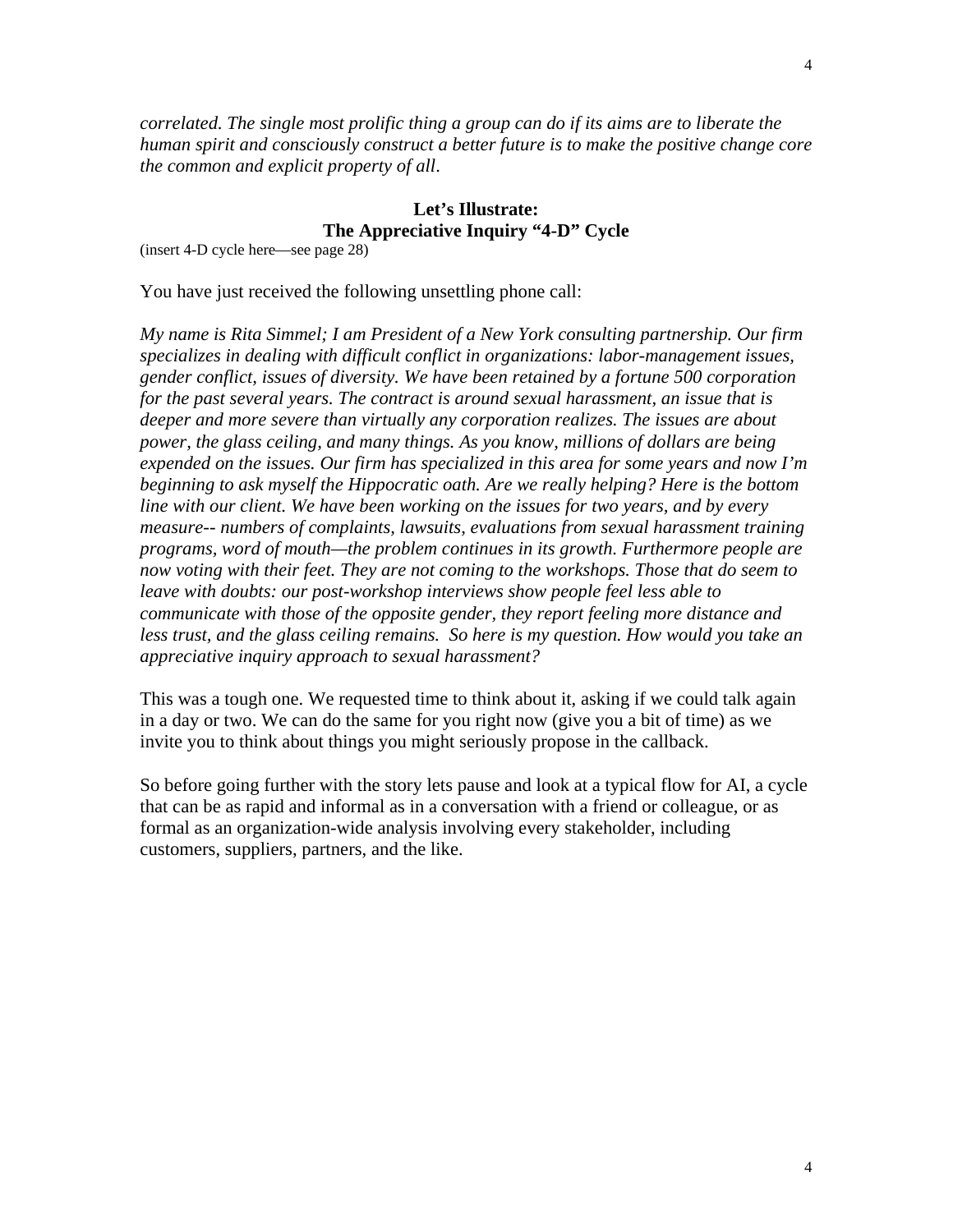*correlated. The single most prolific thing a group can do if its aims are to liberate the human spirit and consciously construct a better future is to make the positive change core the common and explicit property of all*.

## **Let's Illustrate: The Appreciative Inquiry "4-D" Cycle**

(insert 4-D cycle here—see page 28)

You have just received the following unsettling phone call:

*My name is Rita Simmel; I am President of a New York consulting partnership. Our firm specializes in dealing with difficult conflict in organizations: labor-management issues, gender conflict, issues of diversity. We have been retained by a fortune 500 corporation for the past several years. The contract is around sexual harassment, an issue that is deeper and more severe than virtually any corporation realizes. The issues are about power, the glass ceiling, and many things. As you know, millions of dollars are being expended on the issues. Our firm has specialized in this area for some years and now I'm beginning to ask myself the Hippocratic oath. Are we really helping? Here is the bottom line with our client. We have been working on the issues for two years, and by every measure-- numbers of complaints, lawsuits, evaluations from sexual harassment training programs, word of mouth—the problem continues in its growth. Furthermore people are now voting with their feet. They are not coming to the workshops. Those that do seem to leave with doubts: our post-workshop interviews show people feel less able to communicate with those of the opposite gender, they report feeling more distance and less trust, and the glass ceiling remains. So here is my question. How would you take an appreciative inquiry approach to sexual harassment?* 

This was a tough one. We requested time to think about it, asking if we could talk again in a day or two. We can do the same for you right now (give you a bit of time) as we invite you to think about things you might seriously propose in the callback.

So before going further with the story lets pause and look at a typical flow for AI, a cycle that can be as rapid and informal as in a conversation with a friend or colleague, or as formal as an organization-wide analysis involving every stakeholder, including customers, suppliers, partners, and the like.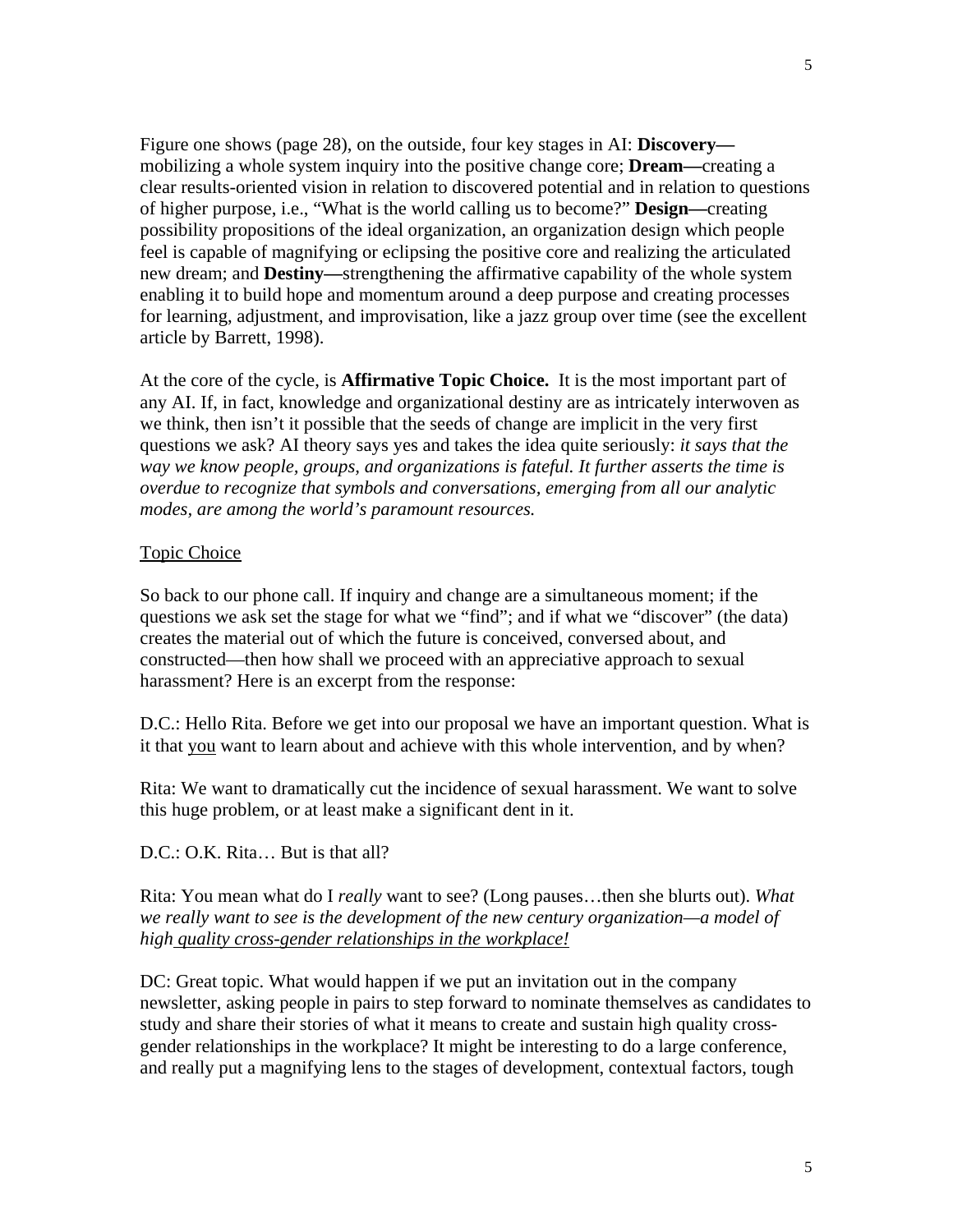Figure one shows (page 28), on the outside, four key stages in AI: **Discovery** mobilizing a whole system inquiry into the positive change core; **Dream—**creating a clear results-oriented vision in relation to discovered potential and in relation to questions of higher purpose, i.e., "What is the world calling us to become?" **Design—**creating possibility propositions of the ideal organization, an organization design which people feel is capable of magnifying or eclipsing the positive core and realizing the articulated new dream; and **Destiny—**strengthening the affirmative capability of the whole system enabling it to build hope and momentum around a deep purpose and creating processes for learning, adjustment, and improvisation, like a jazz group over time (see the excellent article by Barrett, 1998).

At the core of the cycle, is **Affirmative Topic Choice.** It is the most important part of any AI. If, in fact, knowledge and organizational destiny are as intricately interwoven as we think, then isn't it possible that the seeds of change are implicit in the very first questions we ask? AI theory says yes and takes the idea quite seriously: *it says that the way we know people, groups, and organizations is fateful. It further asserts the time is overdue to recognize that symbols and conversations, emerging from all our analytic modes, are among the world's paramount resources.* 

#### Topic Choice

So back to our phone call. If inquiry and change are a simultaneous moment; if the questions we ask set the stage for what we "find"; and if what we "discover" (the data) creates the material out of which the future is conceived, conversed about, and constructed—then how shall we proceed with an appreciative approach to sexual harassment? Here is an excerpt from the response:

D.C.: Hello Rita. Before we get into our proposal we have an important question. What is it that you want to learn about and achieve with this whole intervention, and by when?

Rita: We want to dramatically cut the incidence of sexual harassment. We want to solve this huge problem, or at least make a significant dent in it.

D.C.: O.K. Rita… But is that all?

Rita: You mean what do I *really* want to see? (Long pauses…then she blurts out). *What we really want to see is the development of the new century organization—a model of high quality cross-gender relationships in the workplace!*

DC: Great topic. What would happen if we put an invitation out in the company newsletter, asking people in pairs to step forward to nominate themselves as candidates to study and share their stories of what it means to create and sustain high quality crossgender relationships in the workplace? It might be interesting to do a large conference, and really put a magnifying lens to the stages of development, contextual factors, tough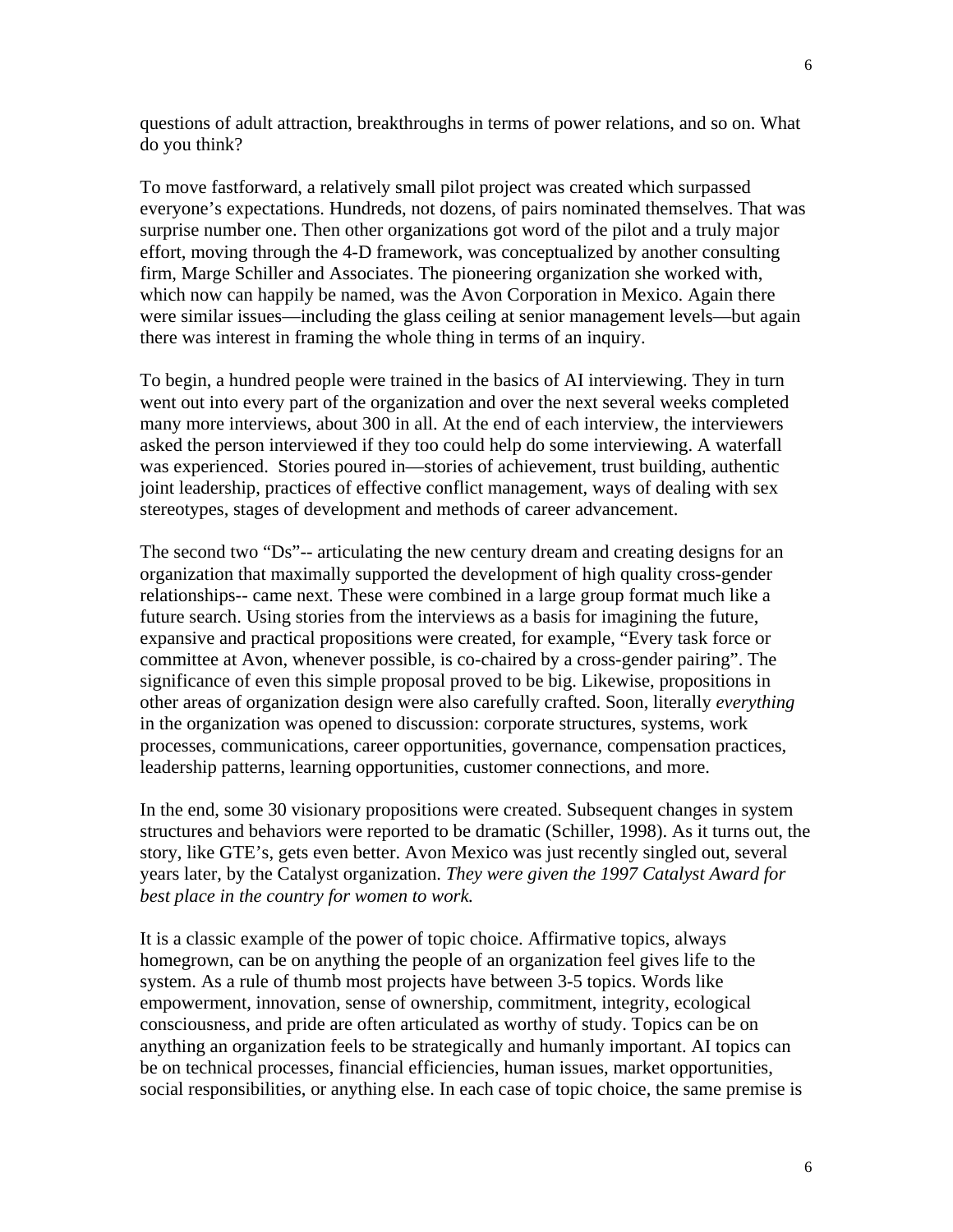questions of adult attraction, breakthroughs in terms of power relations, and so on. What do you think?

To move fastforward, a relatively small pilot project was created which surpassed everyone's expectations. Hundreds, not dozens, of pairs nominated themselves. That was surprise number one. Then other organizations got word of the pilot and a truly major effort, moving through the 4-D framework, was conceptualized by another consulting firm, Marge Schiller and Associates. The pioneering organization she worked with, which now can happily be named, was the Avon Corporation in Mexico. Again there were similar issues—including the glass ceiling at senior management levels—but again there was interest in framing the whole thing in terms of an inquiry.

To begin, a hundred people were trained in the basics of AI interviewing. They in turn went out into every part of the organization and over the next several weeks completed many more interviews, about 300 in all. At the end of each interview, the interviewers asked the person interviewed if they too could help do some interviewing. A waterfall was experienced. Stories poured in—stories of achievement, trust building, authentic joint leadership, practices of effective conflict management, ways of dealing with sex stereotypes, stages of development and methods of career advancement.

The second two "Ds"-- articulating the new century dream and creating designs for an organization that maximally supported the development of high quality cross-gender relationships-- came next. These were combined in a large group format much like a future search. Using stories from the interviews as a basis for imagining the future, expansive and practical propositions were created, for example, "Every task force or committee at Avon, whenever possible, is co-chaired by a cross-gender pairing". The significance of even this simple proposal proved to be big. Likewise, propositions in other areas of organization design were also carefully crafted. Soon, literally *everything* in the organization was opened to discussion: corporate structures, systems, work processes, communications, career opportunities, governance, compensation practices, leadership patterns, learning opportunities, customer connections, and more.

In the end, some 30 visionary propositions were created. Subsequent changes in system structures and behaviors were reported to be dramatic (Schiller, 1998). As it turns out, the story, like GTE's, gets even better. Avon Mexico was just recently singled out, several years later, by the Catalyst organization. *They were given the 1997 Catalyst Award for best place in the country for women to work.* 

It is a classic example of the power of topic choice. Affirmative topics, always homegrown, can be on anything the people of an organization feel gives life to the system. As a rule of thumb most projects have between 3-5 topics. Words like empowerment, innovation, sense of ownership, commitment, integrity, ecological consciousness, and pride are often articulated as worthy of study. Topics can be on anything an organization feels to be strategically and humanly important. AI topics can be on technical processes, financial efficiencies, human issues, market opportunities, social responsibilities, or anything else. In each case of topic choice, the same premise is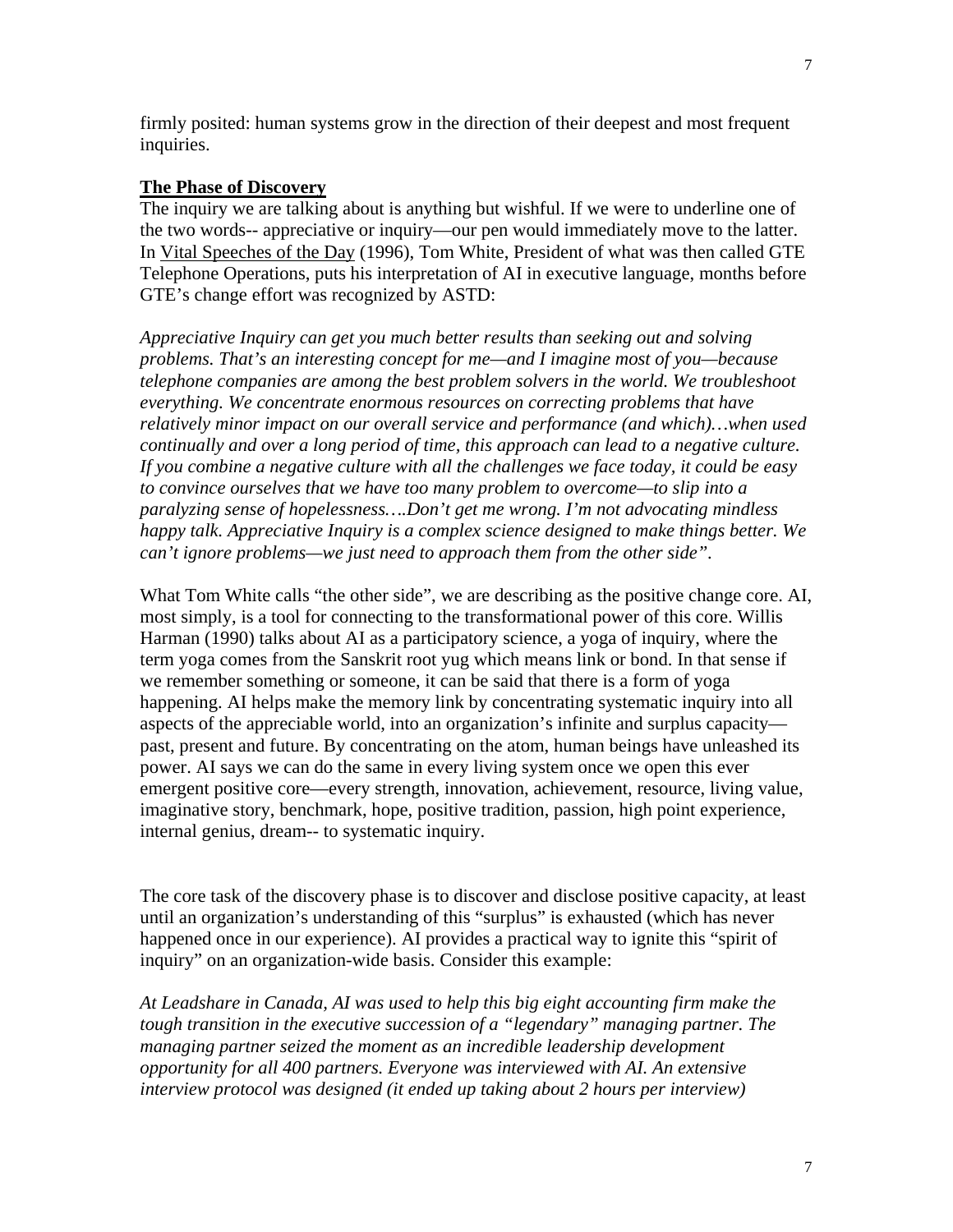7

firmly posited: human systems grow in the direction of their deepest and most frequent inquiries.

#### **The Phase of Discovery**

The inquiry we are talking about is anything but wishful. If we were to underline one of the two words-- appreciative or inquiry—our pen would immediately move to the latter. In Vital Speeches of the Day (1996), Tom White, President of what was then called GTE Telephone Operations, puts his interpretation of AI in executive language, months before GTE's change effort was recognized by ASTD:

*Appreciative Inquiry can get you much better results than seeking out and solving problems. That's an interesting concept for me—and I imagine most of you—because telephone companies are among the best problem solvers in the world. We troubleshoot everything. We concentrate enormous resources on correcting problems that have relatively minor impact on our overall service and performance (and which)…when used continually and over a long period of time, this approach can lead to a negative culture. If you combine a negative culture with all the challenges we face today, it could be easy to convince ourselves that we have too many problem to overcome—to slip into a paralyzing sense of hopelessness….Don't get me wrong. I'm not advocating mindless happy talk. Appreciative Inquiry is a complex science designed to make things better. We can't ignore problems—we just need to approach them from the other side".* 

What Tom White calls "the other side", we are describing as the positive change core. AI, most simply, is a tool for connecting to the transformational power of this core. Willis Harman (1990) talks about AI as a participatory science, a yoga of inquiry, where the term yoga comes from the Sanskrit root yug which means link or bond. In that sense if we remember something or someone, it can be said that there is a form of yoga happening. AI helps make the memory link by concentrating systematic inquiry into all aspects of the appreciable world, into an organization's infinite and surplus capacity past, present and future. By concentrating on the atom, human beings have unleashed its power. AI says we can do the same in every living system once we open this ever emergent positive core—every strength, innovation, achievement, resource, living value, imaginative story, benchmark, hope, positive tradition, passion, high point experience, internal genius, dream-- to systematic inquiry.

The core task of the discovery phase is to discover and disclose positive capacity, at least until an organization's understanding of this "surplus" is exhausted (which has never happened once in our experience). AI provides a practical way to ignite this "spirit of inquiry" on an organization-wide basis. Consider this example:

*At Leadshare in Canada, AI was used to help this big eight accounting firm make the tough transition in the executive succession of a "legendary" managing partner. The managing partner seized the moment as an incredible leadership development opportunity for all 400 partners. Everyone was interviewed with AI. An extensive interview protocol was designed (it ended up taking about 2 hours per interview)*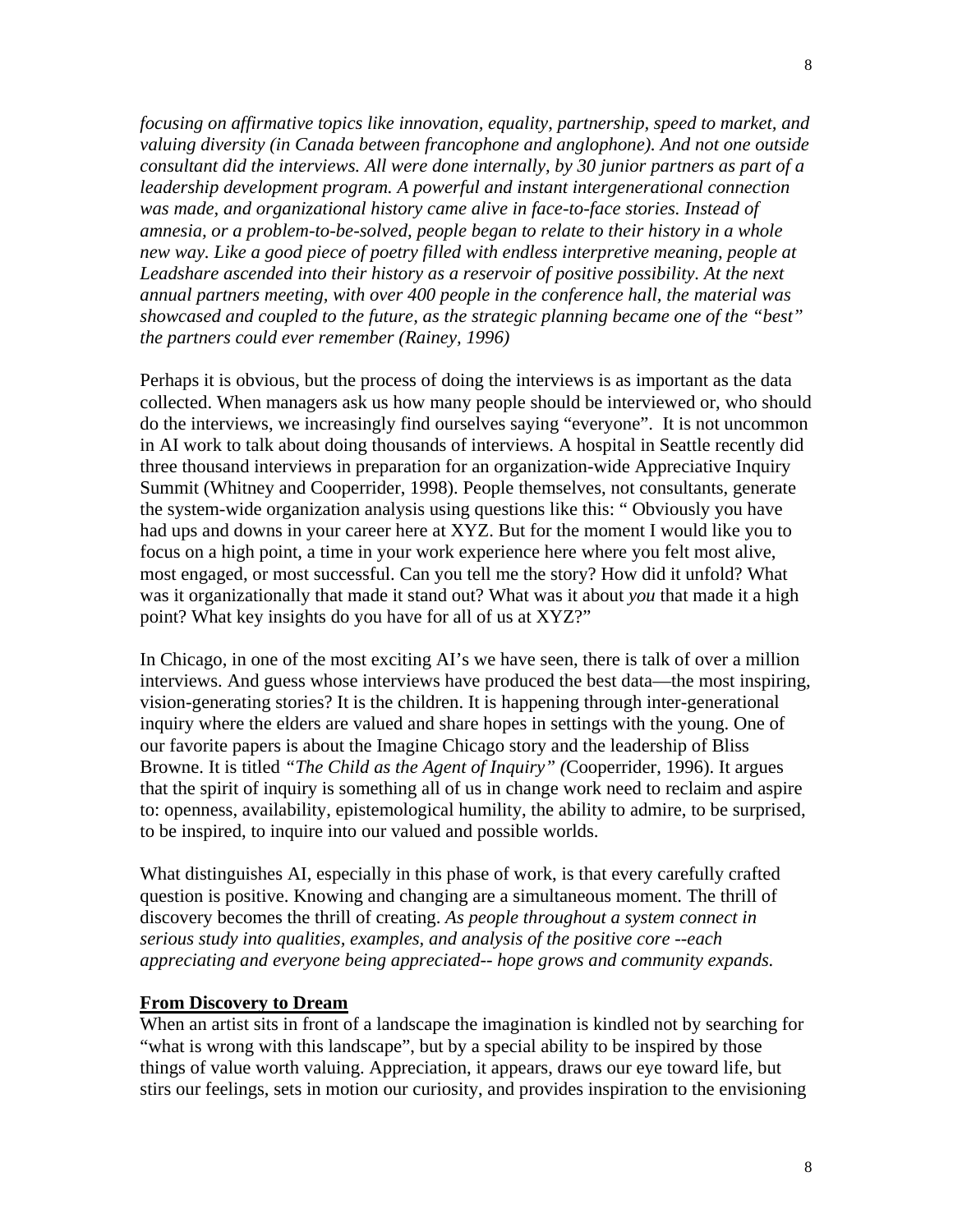*focusing on affirmative topics like innovation, equality, partnership, speed to market, and valuing diversity (in Canada between francophone and anglophone). And not one outside consultant did the interviews. All were done internally, by 30 junior partners as part of a leadership development program. A powerful and instant intergenerational connection was made, and organizational history came alive in face-to-face stories. Instead of amnesia, or a problem-to-be-solved, people began to relate to their history in a whole new way. Like a good piece of poetry filled with endless interpretive meaning, people at Leadshare ascended into their history as a reservoir of positive possibility. At the next annual partners meeting, with over 400 people in the conference hall, the material was showcased and coupled to the future, as the strategic planning became one of the "best" the partners could ever remember (Rainey, 1996)* 

Perhaps it is obvious, but the process of doing the interviews is as important as the data collected. When managers ask us how many people should be interviewed or, who should do the interviews, we increasingly find ourselves saying "everyone". It is not uncommon in AI work to talk about doing thousands of interviews. A hospital in Seattle recently did three thousand interviews in preparation for an organization-wide Appreciative Inquiry Summit (Whitney and Cooperrider, 1998). People themselves, not consultants, generate the system-wide organization analysis using questions like this: " Obviously you have had ups and downs in your career here at XYZ. But for the moment I would like you to focus on a high point, a time in your work experience here where you felt most alive, most engaged, or most successful. Can you tell me the story? How did it unfold? What was it organizationally that made it stand out? What was it about *you* that made it a high point? What key insights do you have for all of us at XYZ?"

In Chicago, in one of the most exciting AI's we have seen, there is talk of over a million interviews. And guess whose interviews have produced the best data—the most inspiring, vision-generating stories? It is the children. It is happening through inter-generational inquiry where the elders are valued and share hopes in settings with the young. One of our favorite papers is about the Imagine Chicago story and the leadership of Bliss Browne. It is titled *"The Child as the Agent of Inquiry" (*Cooperrider, 1996). It argues that the spirit of inquiry is something all of us in change work need to reclaim and aspire to: openness, availability, epistemological humility, the ability to admire, to be surprised, to be inspired, to inquire into our valued and possible worlds.

What distinguishes AI, especially in this phase of work, is that every carefully crafted question is positive. Knowing and changing are a simultaneous moment. The thrill of discovery becomes the thrill of creating. *As people throughout a system connect in serious study into qualities, examples, and analysis of the positive core --each appreciating and everyone being appreciated-- hope grows and community expands.* 

#### **From Discovery to Dream**

When an artist sits in front of a landscape the imagination is kindled not by searching for "what is wrong with this landscape", but by a special ability to be inspired by those things of value worth valuing. Appreciation, it appears, draws our eye toward life, but stirs our feelings, sets in motion our curiosity, and provides inspiration to the envisioning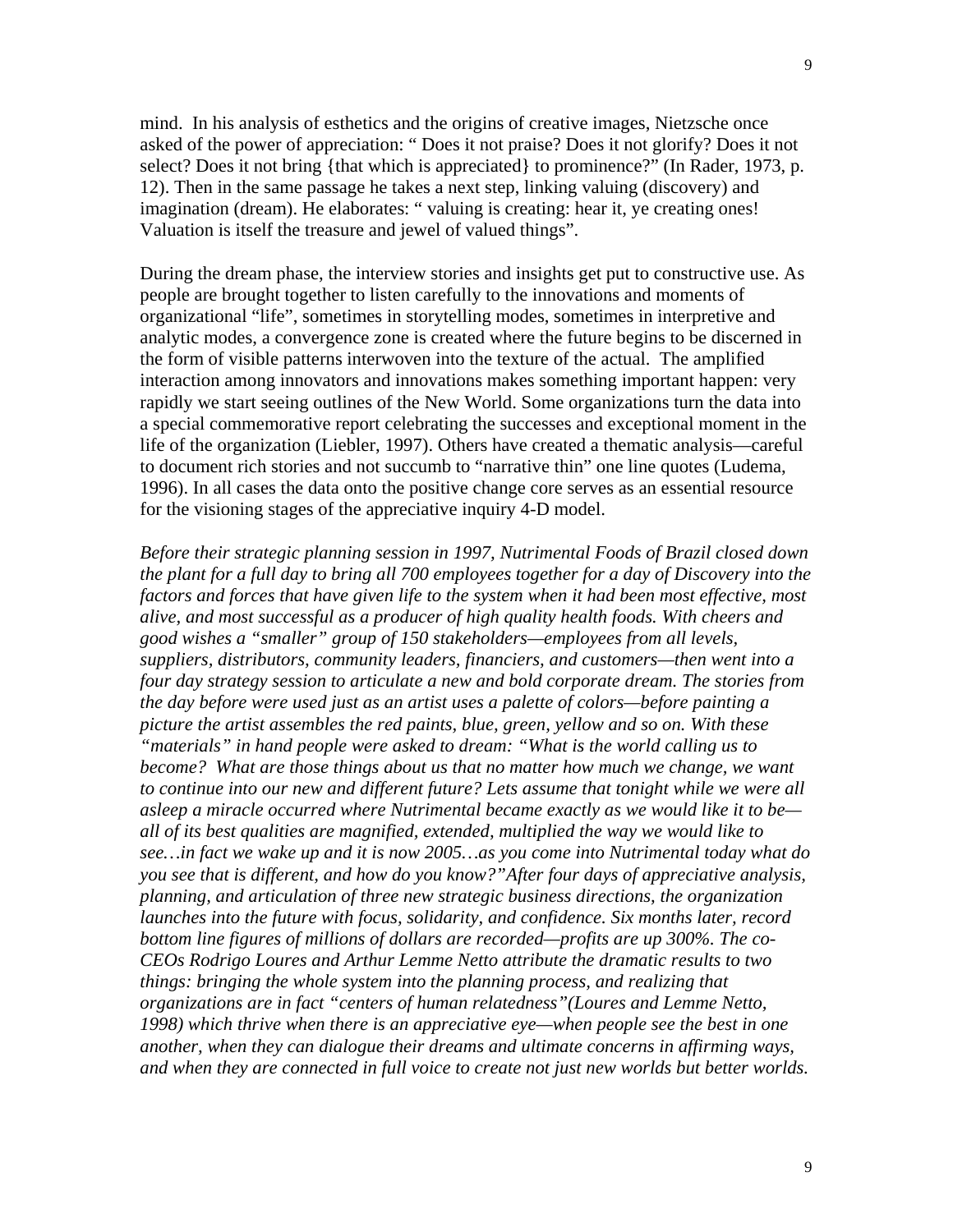mind. In his analysis of esthetics and the origins of creative images, Nietzsche once asked of the power of appreciation: " Does it not praise? Does it not glorify? Does it not select? Does it not bring {that which is appreciated} to prominence?" (In Rader, 1973, p. 12). Then in the same passage he takes a next step, linking valuing (discovery) and imagination (dream). He elaborates: " valuing is creating: hear it, ye creating ones! Valuation is itself the treasure and jewel of valued things".

During the dream phase, the interview stories and insights get put to constructive use. As people are brought together to listen carefully to the innovations and moments of organizational "life", sometimes in storytelling modes, sometimes in interpretive and analytic modes, a convergence zone is created where the future begins to be discerned in the form of visible patterns interwoven into the texture of the actual. The amplified interaction among innovators and innovations makes something important happen: very rapidly we start seeing outlines of the New World. Some organizations turn the data into a special commemorative report celebrating the successes and exceptional moment in the life of the organization (Liebler, 1997). Others have created a thematic analysis—careful to document rich stories and not succumb to "narrative thin" one line quotes (Ludema, 1996). In all cases the data onto the positive change core serves as an essential resource for the visioning stages of the appreciative inquiry 4-D model.

*Before their strategic planning session in 1997, Nutrimental Foods of Brazil closed down the plant for a full day to bring all 700 employees together for a day of Discovery into the factors and forces that have given life to the system when it had been most effective, most alive, and most successful as a producer of high quality health foods. With cheers and good wishes a "smaller" group of 150 stakeholders—employees from all levels, suppliers, distributors, community leaders, financiers, and customers—then went into a four day strategy session to articulate a new and bold corporate dream. The stories from the day before were used just as an artist uses a palette of colors—before painting a picture the artist assembles the red paints, blue, green, yellow and so on. With these "materials" in hand people were asked to dream: "What is the world calling us to become? What are those things about us that no matter how much we change, we want to continue into our new and different future? Lets assume that tonight while we were all asleep a miracle occurred where Nutrimental became exactly as we would like it to be all of its best qualities are magnified, extended, multiplied the way we would like to see…in fact we wake up and it is now 2005…as you come into Nutrimental today what do you see that is different, and how do you know?"After four days of appreciative analysis, planning, and articulation of three new strategic business directions, the organization launches into the future with focus, solidarity, and confidence. Six months later, record bottom line figures of millions of dollars are recorded—profits are up 300%. The co-CEOs Rodrigo Loures and Arthur Lemme Netto attribute the dramatic results to two things: bringing the whole system into the planning process, and realizing that organizations are in fact "centers of human relatedness"(Loures and Lemme Netto, 1998) which thrive when there is an appreciative eye—when people see the best in one another, when they can dialogue their dreams and ultimate concerns in affirming ways, and when they are connected in full voice to create not just new worlds but better worlds.*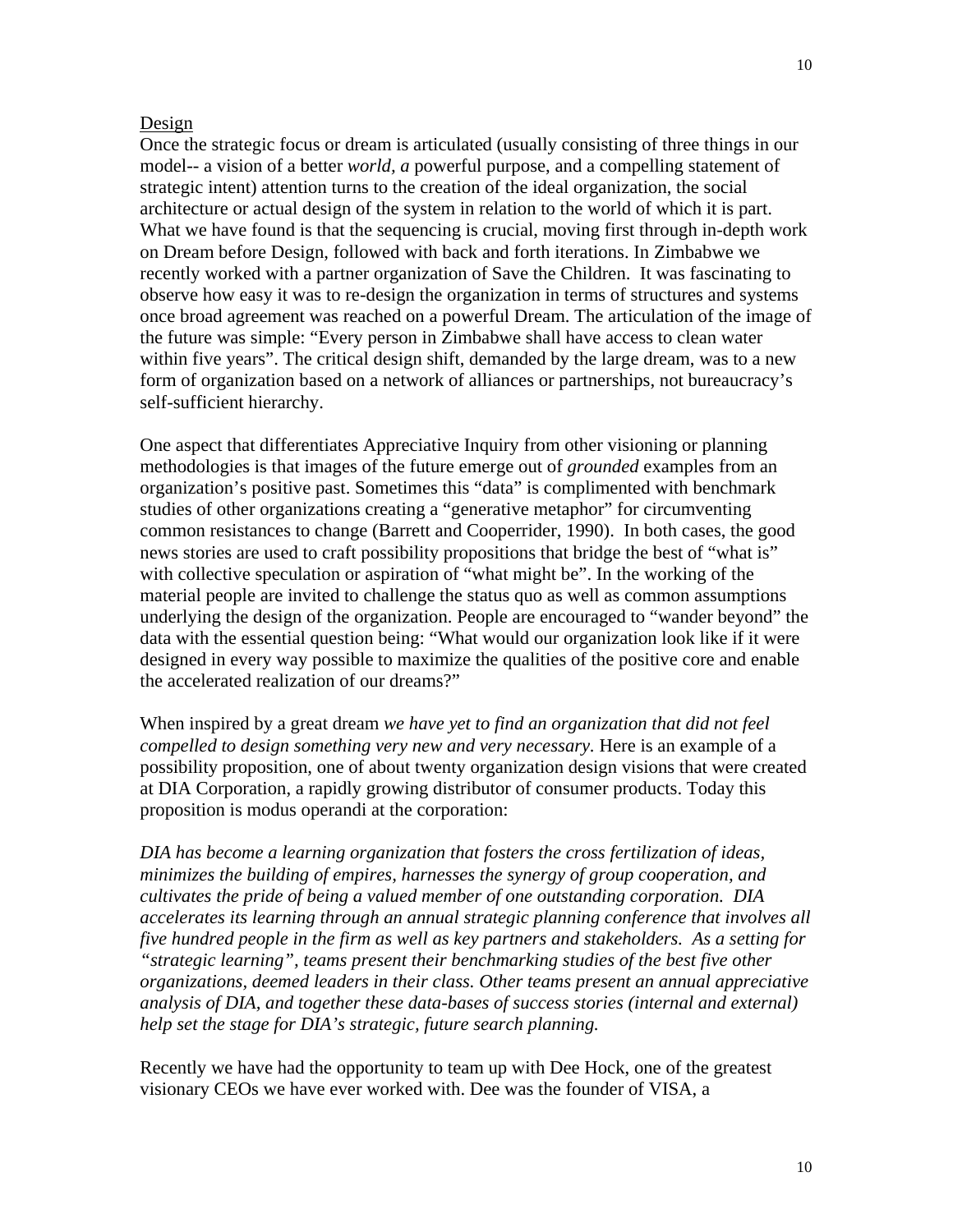#### Design

Once the strategic focus or dream is articulated (usually consisting of three things in our model-- a vision of a better *world, a* powerful purpose, and a compelling statement of strategic intent) attention turns to the creation of the ideal organization, the social architecture or actual design of the system in relation to the world of which it is part. What we have found is that the sequencing is crucial, moving first through in-depth work on Dream before Design, followed with back and forth iterations. In Zimbabwe we recently worked with a partner organization of Save the Children. It was fascinating to observe how easy it was to re-design the organization in terms of structures and systems once broad agreement was reached on a powerful Dream. The articulation of the image of the future was simple: "Every person in Zimbabwe shall have access to clean water within five years". The critical design shift, demanded by the large dream, was to a new form of organization based on a network of alliances or partnerships, not bureaucracy's self-sufficient hierarchy.

One aspect that differentiates Appreciative Inquiry from other visioning or planning methodologies is that images of the future emerge out of *grounded* examples from an organization's positive past. Sometimes this "data" is complimented with benchmark studies of other organizations creating a "generative metaphor" for circumventing common resistances to change (Barrett and Cooperrider, 1990). In both cases, the good news stories are used to craft possibility propositions that bridge the best of "what is" with collective speculation or aspiration of "what might be". In the working of the material people are invited to challenge the status quo as well as common assumptions underlying the design of the organization. People are encouraged to "wander beyond" the data with the essential question being: "What would our organization look like if it were designed in every way possible to maximize the qualities of the positive core and enable the accelerated realization of our dreams?"

When inspired by a great dream *we have yet to find an organization that did not feel compelled to design something very new and very necessary.* Here is an example of a possibility proposition, one of about twenty organization design visions that were created at DIA Corporation, a rapidly growing distributor of consumer products. Today this proposition is modus operandi at the corporation:

*DIA has become a learning organization that fosters the cross fertilization of ideas, minimizes the building of empires, harnesses the synergy of group cooperation, and cultivates the pride of being a valued member of one outstanding corporation. DIA accelerates its learning through an annual strategic planning conference that involves all five hundred people in the firm as well as key partners and stakeholders. As a setting for "strategic learning", teams present their benchmarking studies of the best five other organizations, deemed leaders in their class. Other teams present an annual appreciative analysis of DIA, and together these data-bases of success stories (internal and external) help set the stage for DIA's strategic, future search planning.* 

Recently we have had the opportunity to team up with Dee Hock, one of the greatest visionary CEOs we have ever worked with. Dee was the founder of VISA, a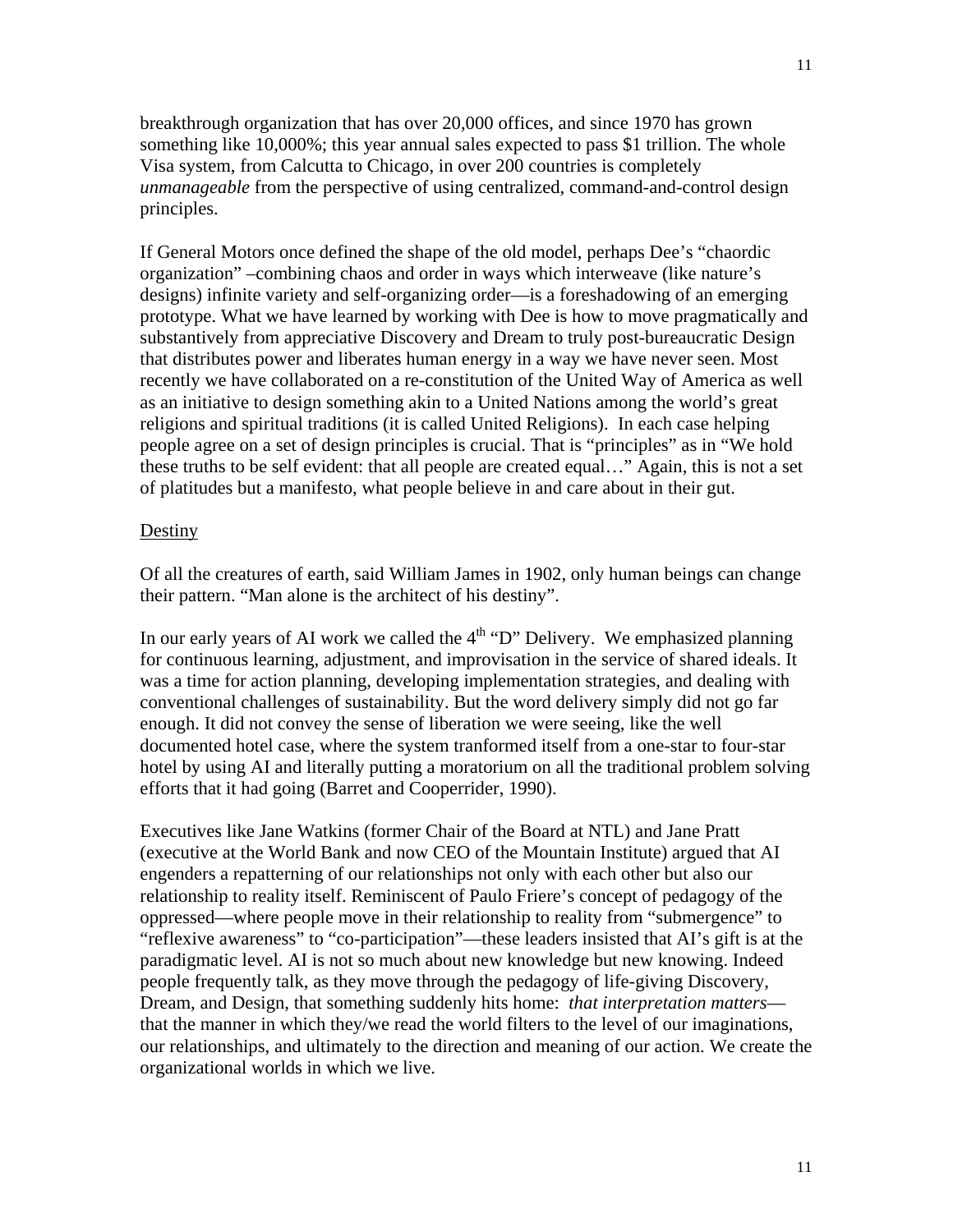breakthrough organization that has over 20,000 offices, and since 1970 has grown something like 10,000%; this year annual sales expected to pass \$1 trillion. The whole Visa system, from Calcutta to Chicago, in over 200 countries is completely *unmanageable* from the perspective of using centralized, command-and-control design principles.

If General Motors once defined the shape of the old model, perhaps Dee's "chaordic organization" –combining chaos and order in ways which interweave (like nature's designs) infinite variety and self-organizing order—is a foreshadowing of an emerging prototype. What we have learned by working with Dee is how to move pragmatically and substantively from appreciative Discovery and Dream to truly post-bureaucratic Design that distributes power and liberates human energy in a way we have never seen. Most recently we have collaborated on a re-constitution of the United Way of America as well as an initiative to design something akin to a United Nations among the world's great religions and spiritual traditions (it is called United Religions). In each case helping people agree on a set of design principles is crucial. That is "principles" as in "We hold these truths to be self evident: that all people are created equal…" Again, this is not a set of platitudes but a manifesto, what people believe in and care about in their gut.

#### Destiny

Of all the creatures of earth, said William James in 1902, only human beings can change their pattern. "Man alone is the architect of his destiny".

In our early years of AI work we called the  $4<sup>th</sup>$  "D" Delivery. We emphasized planning for continuous learning, adjustment, and improvisation in the service of shared ideals. It was a time for action planning, developing implementation strategies, and dealing with conventional challenges of sustainability. But the word delivery simply did not go far enough. It did not convey the sense of liberation we were seeing, like the well documented hotel case, where the system tranformed itself from a one-star to four-star hotel by using AI and literally putting a moratorium on all the traditional problem solving efforts that it had going (Barret and Cooperrider, 1990).

Executives like Jane Watkins (former Chair of the Board at NTL) and Jane Pratt (executive at the World Bank and now CEO of the Mountain Institute) argued that AI engenders a repatterning of our relationships not only with each other but also our relationship to reality itself. Reminiscent of Paulo Friere's concept of pedagogy of the oppressed—where people move in their relationship to reality from "submergence" to "reflexive awareness" to "co-participation"—these leaders insisted that AI's gift is at the paradigmatic level. AI is not so much about new knowledge but new knowing. Indeed people frequently talk, as they move through the pedagogy of life-giving Discovery, Dream, and Design, that something suddenly hits home: *that interpretation matters* that the manner in which they/we read the world filters to the level of our imaginations, our relationships, and ultimately to the direction and meaning of our action. We create the organizational worlds in which we live.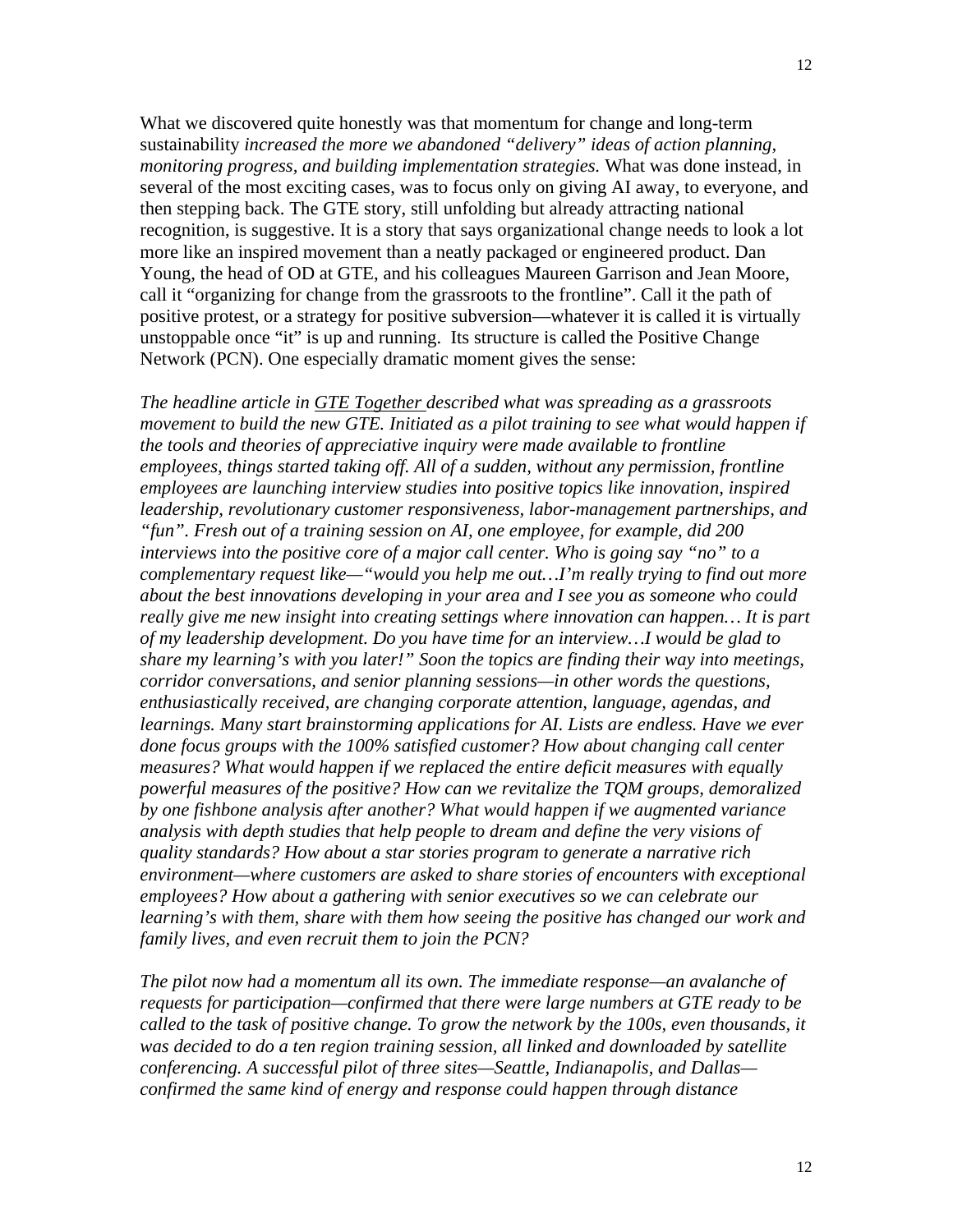12

What we discovered quite honestly was that momentum for change and long-term sustainability *increased the more we abandoned "delivery" ideas of action planning, monitoring progress, and building implementation strategies.* What was done instead, in several of the most exciting cases, was to focus only on giving AI away, to everyone, and then stepping back. The GTE story, still unfolding but already attracting national recognition, is suggestive. It is a story that says organizational change needs to look a lot more like an inspired movement than a neatly packaged or engineered product. Dan Young, the head of OD at GTE, and his colleagues Maureen Garrison and Jean Moore, call it "organizing for change from the grassroots to the frontline". Call it the path of positive protest, or a strategy for positive subversion—whatever it is called it is virtually unstoppable once "it" is up and running. Its structure is called the Positive Change Network (PCN). One especially dramatic moment gives the sense:

*The headline article in GTE Together described what was spreading as a grassroots movement to build the new GTE. Initiated as a pilot training to see what would happen if the tools and theories of appreciative inquiry were made available to frontline employees, things started taking off. All of a sudden, without any permission, frontline employees are launching interview studies into positive topics like innovation, inspired leadership, revolutionary customer responsiveness, labor-management partnerships, and "fun". Fresh out of a training session on AI, one employee, for example, did 200 interviews into the positive core of a major call center. Who is going say "no" to a complementary request like—"would you help me out…I'm really trying to find out more about the best innovations developing in your area and I see you as someone who could really give me new insight into creating settings where innovation can happen… It is part of my leadership development. Do you have time for an interview…I would be glad to share my learning's with you later!" Soon the topics are finding their way into meetings, corridor conversations, and senior planning sessions—in other words the questions, enthusiastically received, are changing corporate attention, language, agendas, and learnings. Many start brainstorming applications for AI. Lists are endless. Have we ever done focus groups with the 100% satisfied customer? How about changing call center measures? What would happen if we replaced the entire deficit measures with equally powerful measures of the positive? How can we revitalize the TQM groups, demoralized by one fishbone analysis after another? What would happen if we augmented variance analysis with depth studies that help people to dream and define the very visions of quality standards? How about a star stories program to generate a narrative rich environment—where customers are asked to share stories of encounters with exceptional employees? How about a gathering with senior executives so we can celebrate our learning's with them, share with them how seeing the positive has changed our work and family lives, and even recruit them to join the PCN?* 

*The pilot now had a momentum all its own. The immediate response—an avalanche of requests for participation—confirmed that there were large numbers at GTE ready to be called to the task of positive change. To grow the network by the 100s, even thousands, it was decided to do a ten region training session, all linked and downloaded by satellite conferencing. A successful pilot of three sites—Seattle, Indianapolis, and Dallas confirmed the same kind of energy and response could happen through distance*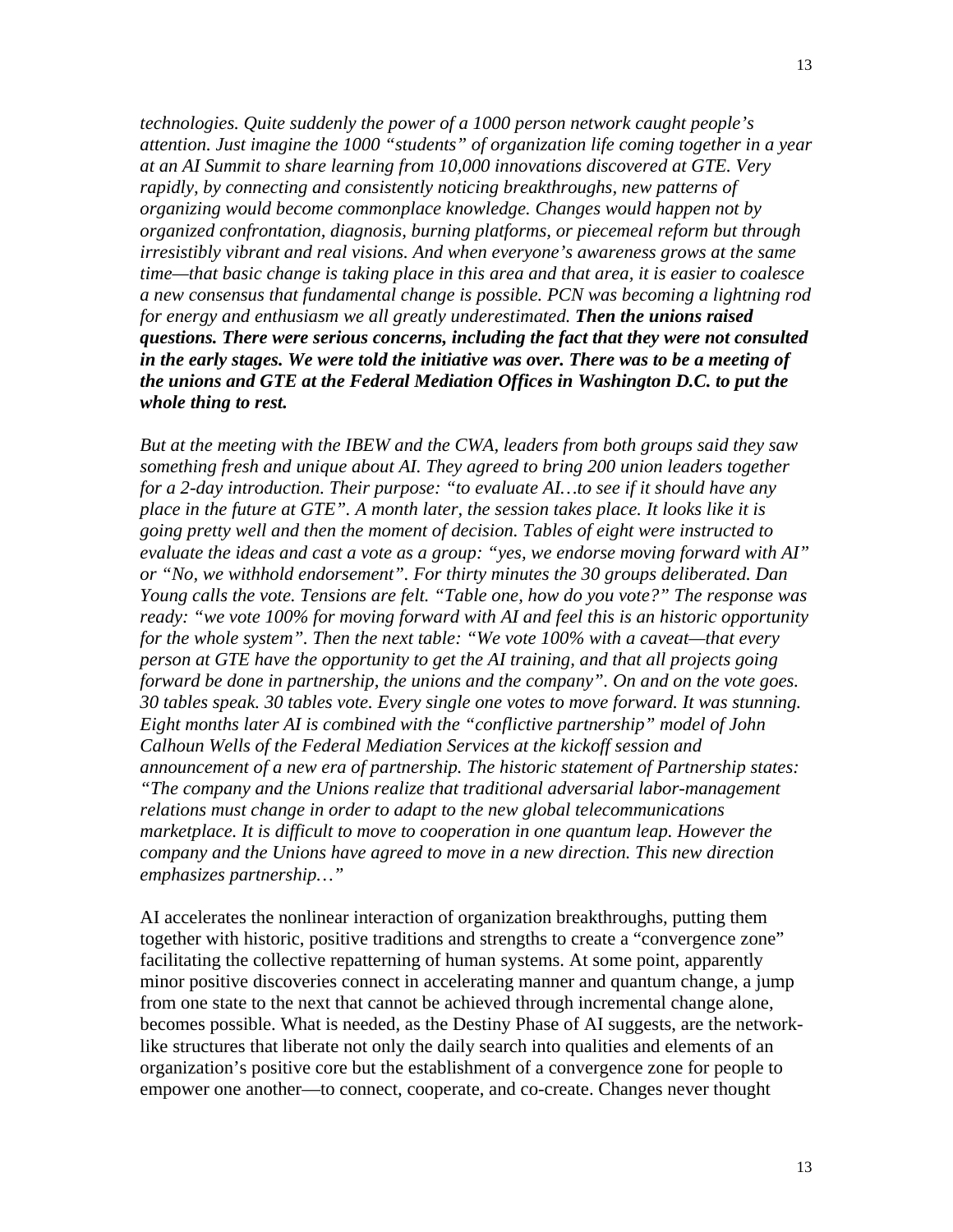*technologies. Quite suddenly the power of a 1000 person network caught people's attention. Just imagine the 1000 "students" of organization life coming together in a year at an AI Summit to share learning from 10,000 innovations discovered at GTE. Very rapidly, by connecting and consistently noticing breakthroughs, new patterns of organizing would become commonplace knowledge. Changes would happen not by organized confrontation, diagnosis, burning platforms, or piecemeal reform but through irresistibly vibrant and real visions. And when everyone's awareness grows at the same time—that basic change is taking place in this area and that area, it is easier to coalesce a new consensus that fundamental change is possible. PCN was becoming a lightning rod for energy and enthusiasm we all greatly underestimated. Then the unions raised questions. There were serious concerns, including the fact that they were not consulted in the early stages. We were told the initiative was over. There was to be a meeting of the unions and GTE at the Federal Mediation Offices in Washington D.C. to put the whole thing to rest.* 

*But at the meeting with the IBEW and the CWA, leaders from both groups said they saw something fresh and unique about AI. They agreed to bring 200 union leaders together for a 2-day introduction. Their purpose: "to evaluate AI…to see if it should have any place in the future at GTE". A month later, the session takes place. It looks like it is going pretty well and then the moment of decision. Tables of eight were instructed to evaluate the ideas and cast a vote as a group: "yes, we endorse moving forward with AI" or "No, we withhold endorsement". For thirty minutes the 30 groups deliberated. Dan Young calls the vote. Tensions are felt. "Table one, how do you vote?" The response was ready: "we vote 100% for moving forward with AI and feel this is an historic opportunity for the whole system". Then the next table: "We vote 100% with a caveat—that every person at GTE have the opportunity to get the AI training, and that all projects going forward be done in partnership, the unions and the company". On and on the vote goes. 30 tables speak. 30 tables vote. Every single one votes to move forward. It was stunning. Eight months later AI is combined with the "conflictive partnership" model of John Calhoun Wells of the Federal Mediation Services at the kickoff session and announcement of a new era of partnership. The historic statement of Partnership states: "The company and the Unions realize that traditional adversarial labor-management relations must change in order to adapt to the new global telecommunications marketplace. It is difficult to move to cooperation in one quantum leap. However the company and the Unions have agreed to move in a new direction. This new direction emphasizes partnership…"* 

AI accelerates the nonlinear interaction of organization breakthroughs, putting them together with historic, positive traditions and strengths to create a "convergence zone" facilitating the collective repatterning of human systems. At some point, apparently minor positive discoveries connect in accelerating manner and quantum change, a jump from one state to the next that cannot be achieved through incremental change alone, becomes possible. What is needed, as the Destiny Phase of AI suggests, are the networklike structures that liberate not only the daily search into qualities and elements of an organization's positive core but the establishment of a convergence zone for people to empower one another—to connect, cooperate, and co-create. Changes never thought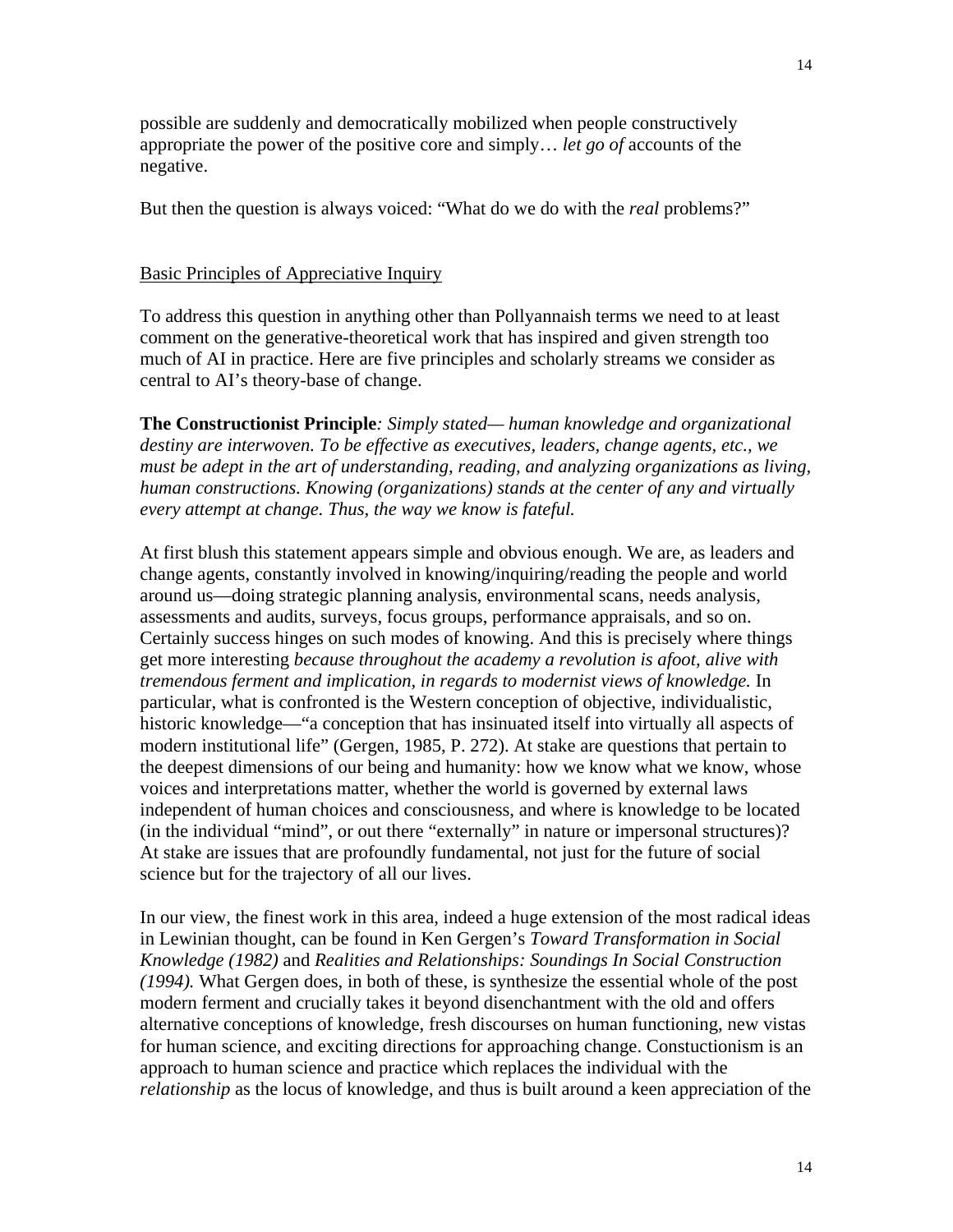possible are suddenly and democratically mobilized when people constructively appropriate the power of the positive core and simply… *let go of* accounts of the negative.

But then the question is always voiced: "What do we do with the *real* problems?"

#### Basic Principles of Appreciative Inquiry

To address this question in anything other than Pollyannaish terms we need to at least comment on the generative-theoretical work that has inspired and given strength too much of AI in practice. Here are five principles and scholarly streams we consider as central to AI's theory-base of change.

**The Constructionist Principle***: Simply stated— human knowledge and organizational destiny are interwoven. To be effective as executives, leaders, change agents, etc., we must be adept in the art of understanding, reading, and analyzing organizations as living, human constructions. Knowing (organizations) stands at the center of any and virtually every attempt at change. Thus, the way we know is fateful.* 

At first blush this statement appears simple and obvious enough. We are, as leaders and change agents, constantly involved in knowing/inquiring/reading the people and world around us—doing strategic planning analysis, environmental scans, needs analysis, assessments and audits, surveys, focus groups, performance appraisals, and so on. Certainly success hinges on such modes of knowing. And this is precisely where things get more interesting *because throughout the academy a revolution is afoot, alive with tremendous ferment and implication, in regards to modernist views of knowledge.* In particular, what is confronted is the Western conception of objective, individualistic, historic knowledge—"a conception that has insinuated itself into virtually all aspects of modern institutional life" (Gergen, 1985, P. 272). At stake are questions that pertain to the deepest dimensions of our being and humanity: how we know what we know, whose voices and interpretations matter, whether the world is governed by external laws independent of human choices and consciousness, and where is knowledge to be located (in the individual "mind", or out there "externally" in nature or impersonal structures)? At stake are issues that are profoundly fundamental, not just for the future of social science but for the trajectory of all our lives.

In our view, the finest work in this area, indeed a huge extension of the most radical ideas in Lewinian thought, can be found in Ken Gergen's *Toward Transformation in Social Knowledge (1982)* and *Realities and Relationships: Soundings In Social Construction (1994).* What Gergen does, in both of these, is synthesize the essential whole of the post modern ferment and crucially takes it beyond disenchantment with the old and offers alternative conceptions of knowledge, fresh discourses on human functioning, new vistas for human science, and exciting directions for approaching change. Constuctionism is an approach to human science and practice which replaces the individual with the *relationship* as the locus of knowledge, and thus is built around a keen appreciation of the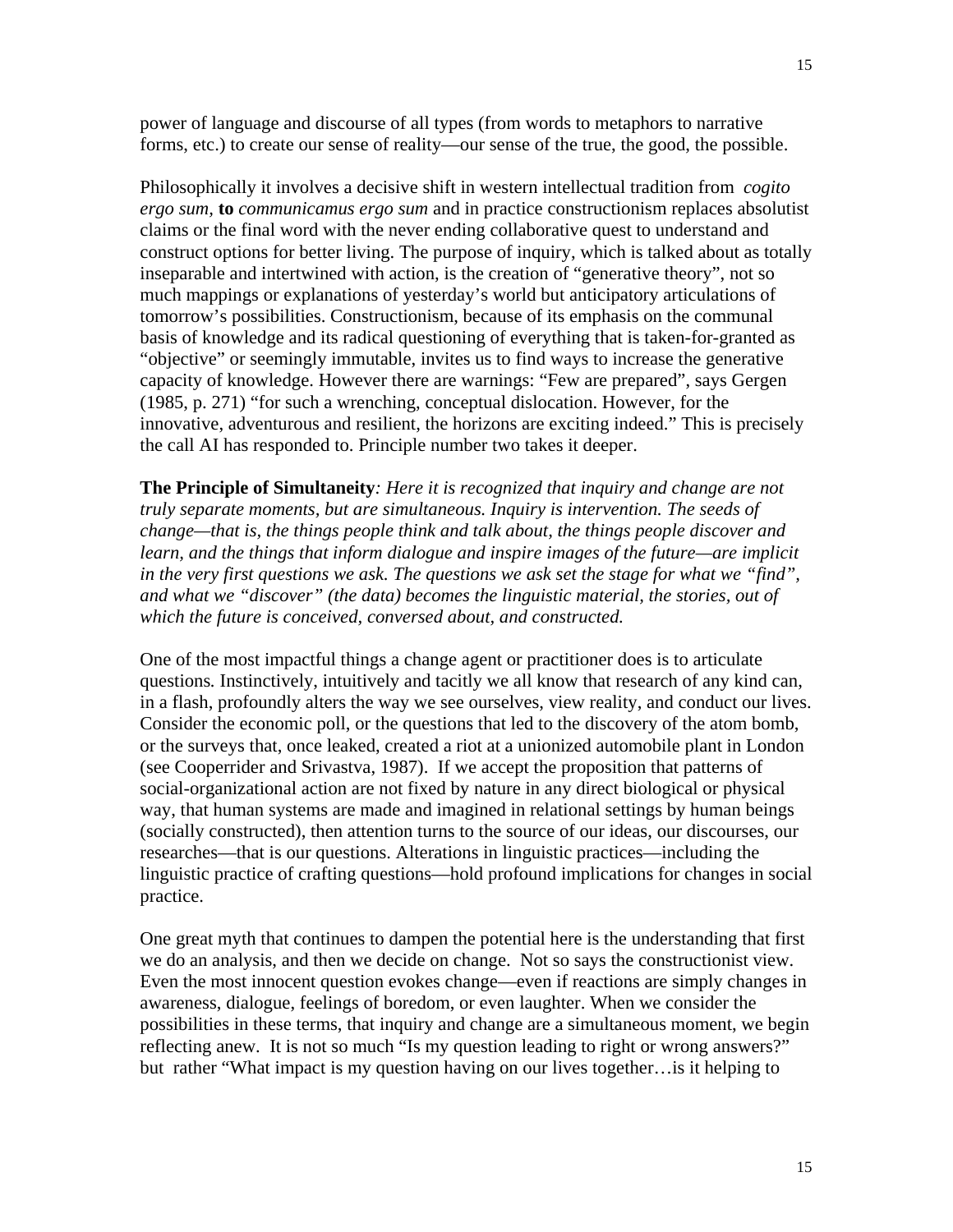power of language and discourse of all types (from words to metaphors to narrative forms, etc.) to create our sense of reality—our sense of the true, the good, the possible.

Philosophically it involves a decisive shift in western intellectual tradition from *cogito ergo sum,* **to** *communicamus ergo sum* and in practice constructionism replaces absolutist claims or the final word with the never ending collaborative quest to understand and construct options for better living. The purpose of inquiry, which is talked about as totally inseparable and intertwined with action, is the creation of "generative theory", not so much mappings or explanations of yesterday's world but anticipatory articulations of tomorrow's possibilities. Constructionism, because of its emphasis on the communal basis of knowledge and its radical questioning of everything that is taken-for-granted as "objective" or seemingly immutable, invites us to find ways to increase the generative capacity of knowledge. However there are warnings: "Few are prepared", says Gergen (1985, p. 271) "for such a wrenching, conceptual dislocation. However, for the innovative, adventurous and resilient, the horizons are exciting indeed." This is precisely the call AI has responded to. Principle number two takes it deeper.

**The Principle of Simultaneity***: Here it is recognized that inquiry and change are not truly separate moments, but are simultaneous. Inquiry is intervention. The seeds of change—that is, the things people think and talk about, the things people discover and learn, and the things that inform dialogue and inspire images of the future—are implicit in the very first questions we ask. The questions we ask set the stage for what we "find", and what we "discover" (the data) becomes the linguistic material, the stories, out of which the future is conceived, conversed about, and constructed.* 

One of the most impactful things a change agent or practitioner does is to articulate questions*.* Instinctively, intuitively and tacitly we all know that research of any kind can, in a flash, profoundly alters the way we see ourselves, view reality, and conduct our lives. Consider the economic poll, or the questions that led to the discovery of the atom bomb, or the surveys that, once leaked, created a riot at a unionized automobile plant in London (see Cooperrider and Srivastva, 1987). If we accept the proposition that patterns of social-organizational action are not fixed by nature in any direct biological or physical way, that human systems are made and imagined in relational settings by human beings (socially constructed), then attention turns to the source of our ideas, our discourses, our researches—that is our questions. Alterations in linguistic practices—including the linguistic practice of crafting questions—hold profound implications for changes in social practice.

One great myth that continues to dampen the potential here is the understanding that first we do an analysis, and then we decide on change. Not so says the constructionist view. Even the most innocent question evokes change—even if reactions are simply changes in awareness, dialogue, feelings of boredom, or even laughter. When we consider the possibilities in these terms, that inquiry and change are a simultaneous moment, we begin reflecting anew. It is not so much "Is my question leading to right or wrong answers?" but rather "What impact is my question having on our lives together…is it helping to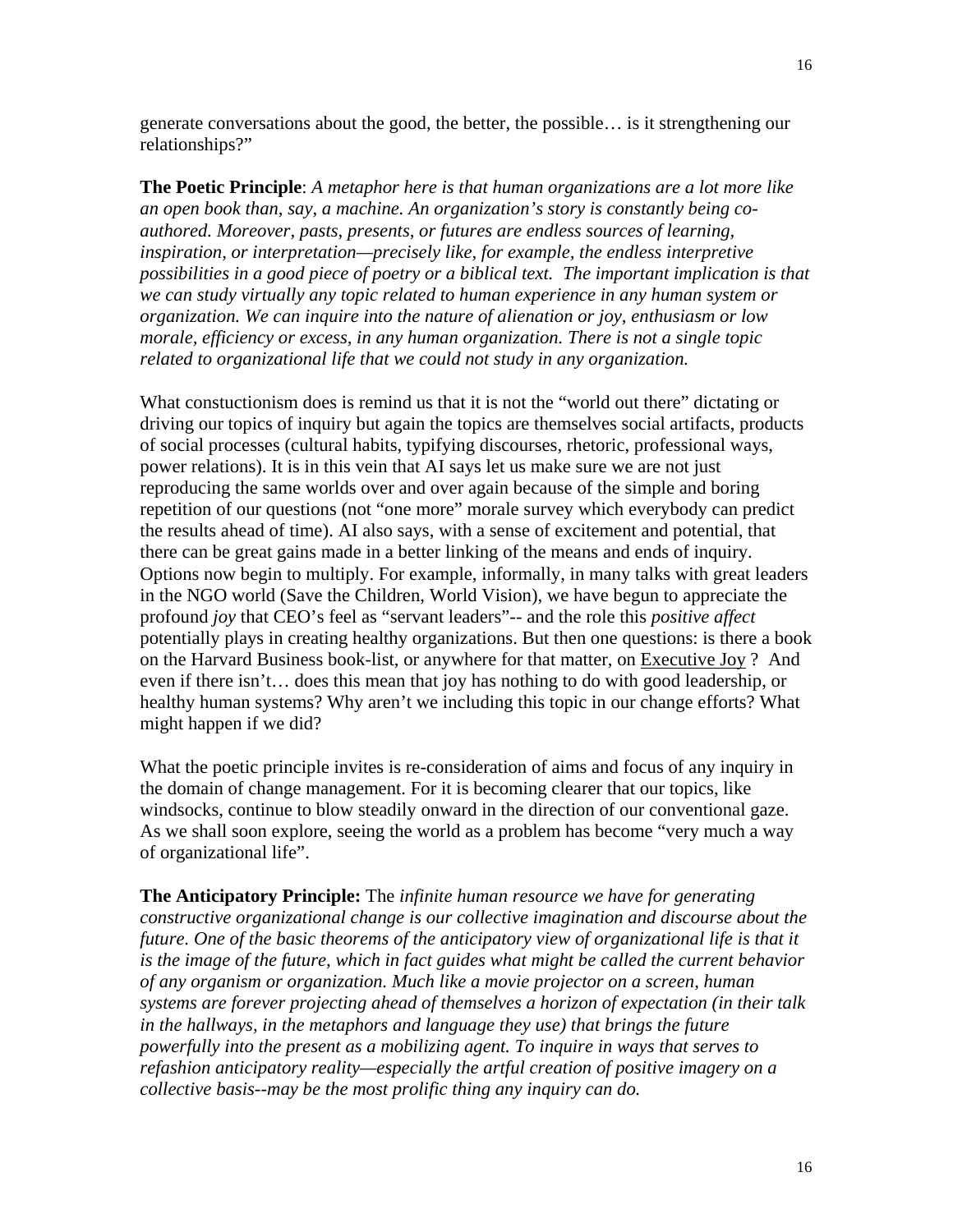generate conversations about the good, the better, the possible… is it strengthening our relationships?"

**The Poetic Principle**: *A metaphor here is that human organizations are a lot more like an open book than, say, a machine. An organization's story is constantly being coauthored. Moreover, pasts, presents, or futures are endless sources of learning, inspiration, or interpretation—precisely like, for example, the endless interpretive possibilities in a good piece of poetry or a biblical text. The important implication is that we can study virtually any topic related to human experience in any human system or organization. We can inquire into the nature of alienation or joy, enthusiasm or low morale, efficiency or excess, in any human organization. There is not a single topic related to organizational life that we could not study in any organization.* 

What constuctionism does is remind us that it is not the "world out there" dictating or driving our topics of inquiry but again the topics are themselves social artifacts, products of social processes (cultural habits, typifying discourses, rhetoric, professional ways, power relations). It is in this vein that AI says let us make sure we are not just reproducing the same worlds over and over again because of the simple and boring repetition of our questions (not "one more" morale survey which everybody can predict the results ahead of time). AI also says, with a sense of excitement and potential, that there can be great gains made in a better linking of the means and ends of inquiry. Options now begin to multiply. For example, informally, in many talks with great leaders in the NGO world (Save the Children, World Vision), we have begun to appreciate the profound *joy* that CEO's feel as "servant leaders"-- and the role this *positive affect* potentially plays in creating healthy organizations. But then one questions: is there a book on the Harvard Business book-list, or anywhere for that matter, on Executive Joy ? And even if there isn't… does this mean that joy has nothing to do with good leadership, or healthy human systems? Why aren't we including this topic in our change efforts? What might happen if we did?

What the poetic principle invites is re-consideration of aims and focus of any inquiry in the domain of change management. For it is becoming clearer that our topics, like windsocks, continue to blow steadily onward in the direction of our conventional gaze. As we shall soon explore, seeing the world as a problem has become "very much a way of organizational life".

**The Anticipatory Principle:** The *infinite human resource we have for generating constructive organizational change is our collective imagination and discourse about the future. One of the basic theorems of the anticipatory view of organizational life is that it is the image of the future, which in fact guides what might be called the current behavior of any organism or organization. Much like a movie projector on a screen, human systems are forever projecting ahead of themselves a horizon of expectation (in their talk in the hallways, in the metaphors and language they use) that brings the future powerfully into the present as a mobilizing agent. To inquire in ways that serves to refashion anticipatory reality—especially the artful creation of positive imagery on a collective basis--may be the most prolific thing any inquiry can do.*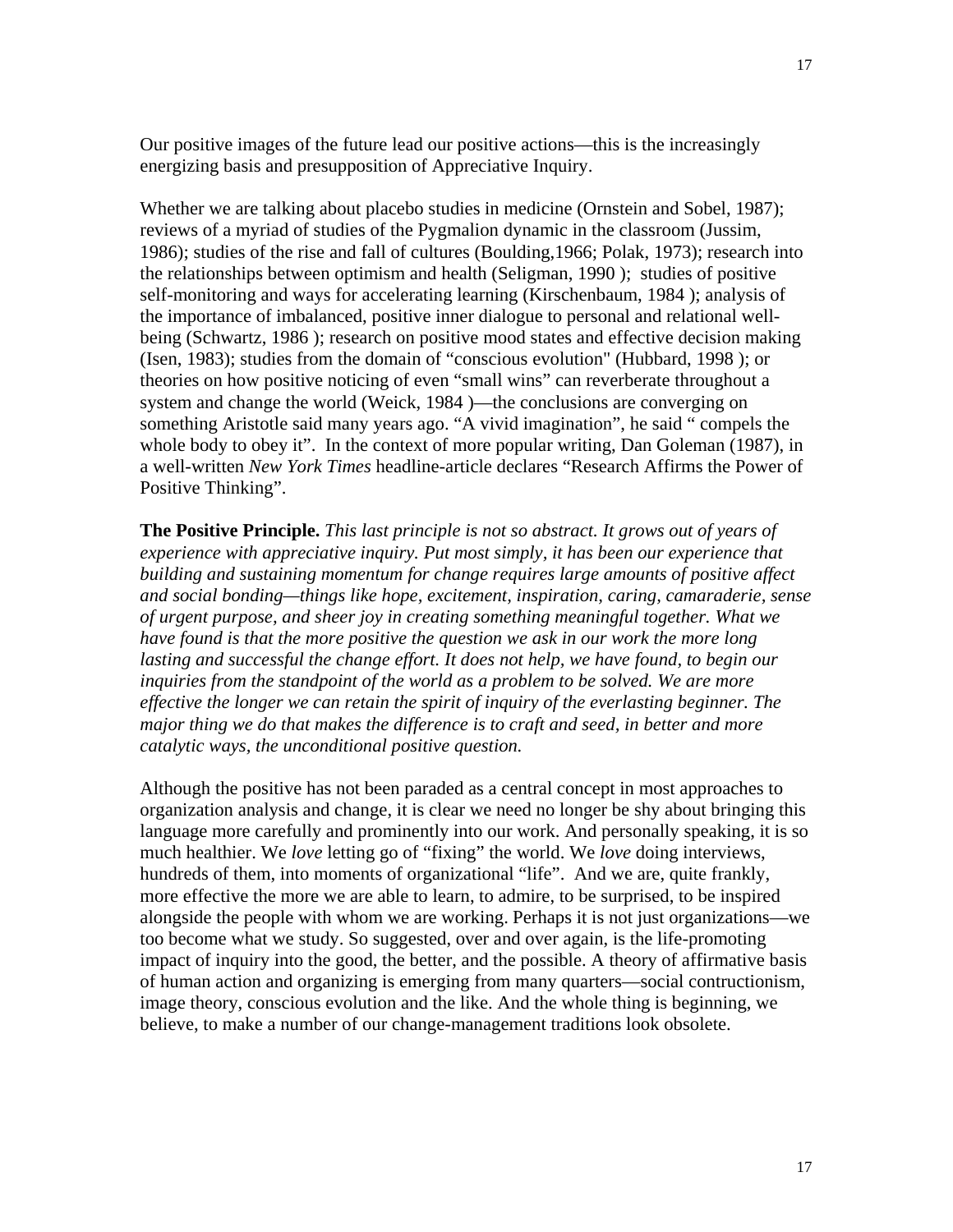Our positive images of the future lead our positive actions—this is the increasingly energizing basis and presupposition of Appreciative Inquiry.

Whether we are talking about placebo studies in medicine (Ornstein and Sobel, 1987); reviews of a myriad of studies of the Pygmalion dynamic in the classroom (Jussim, 1986); studies of the rise and fall of cultures (Boulding,1966; Polak, 1973); research into the relationships between optimism and health (Seligman, 1990 ); studies of positive self-monitoring and ways for accelerating learning (Kirschenbaum, 1984 ); analysis of the importance of imbalanced, positive inner dialogue to personal and relational wellbeing (Schwartz, 1986 ); research on positive mood states and effective decision making (Isen, 1983); studies from the domain of "conscious evolution" (Hubbard, 1998 ); or theories on how positive noticing of even "small wins" can reverberate throughout a system and change the world (Weick, 1984 )—the conclusions are converging on something Aristotle said many years ago. "A vivid imagination", he said " compels the whole body to obey it". In the context of more popular writing, Dan Goleman (1987), in a well-written *New York Times* headline-article declares "Research Affirms the Power of Positive Thinking".

**The Positive Principle.** *This last principle is not so abstract. It grows out of years of experience with appreciative inquiry. Put most simply, it has been our experience that building and sustaining momentum for change requires large amounts of positive affect and social bonding—things like hope, excitement, inspiration, caring, camaraderie, sense of urgent purpose, and sheer joy in creating something meaningful together. What we have found is that the more positive the question we ask in our work the more long*  lasting and successful the change effort. It does not help, we have found, to begin our *inquiries from the standpoint of the world as a problem to be solved. We are more effective the longer we can retain the spirit of inquiry of the everlasting beginner. The major thing we do that makes the difference is to craft and seed, in better and more catalytic ways, the unconditional positive question.*

Although the positive has not been paraded as a central concept in most approaches to organization analysis and change, it is clear we need no longer be shy about bringing this language more carefully and prominently into our work. And personally speaking, it is so much healthier. We *love* letting go of "fixing" the world. We *love* doing interviews, hundreds of them, into moments of organizational "life". And we are, quite frankly, more effective the more we are able to learn, to admire, to be surprised, to be inspired alongside the people with whom we are working. Perhaps it is not just organizations—we too become what we study. So suggested, over and over again, is the life-promoting impact of inquiry into the good, the better, and the possible. A theory of affirmative basis of human action and organizing is emerging from many quarters—social contructionism, image theory, conscious evolution and the like. And the whole thing is beginning, we believe, to make a number of our change-management traditions look obsolete.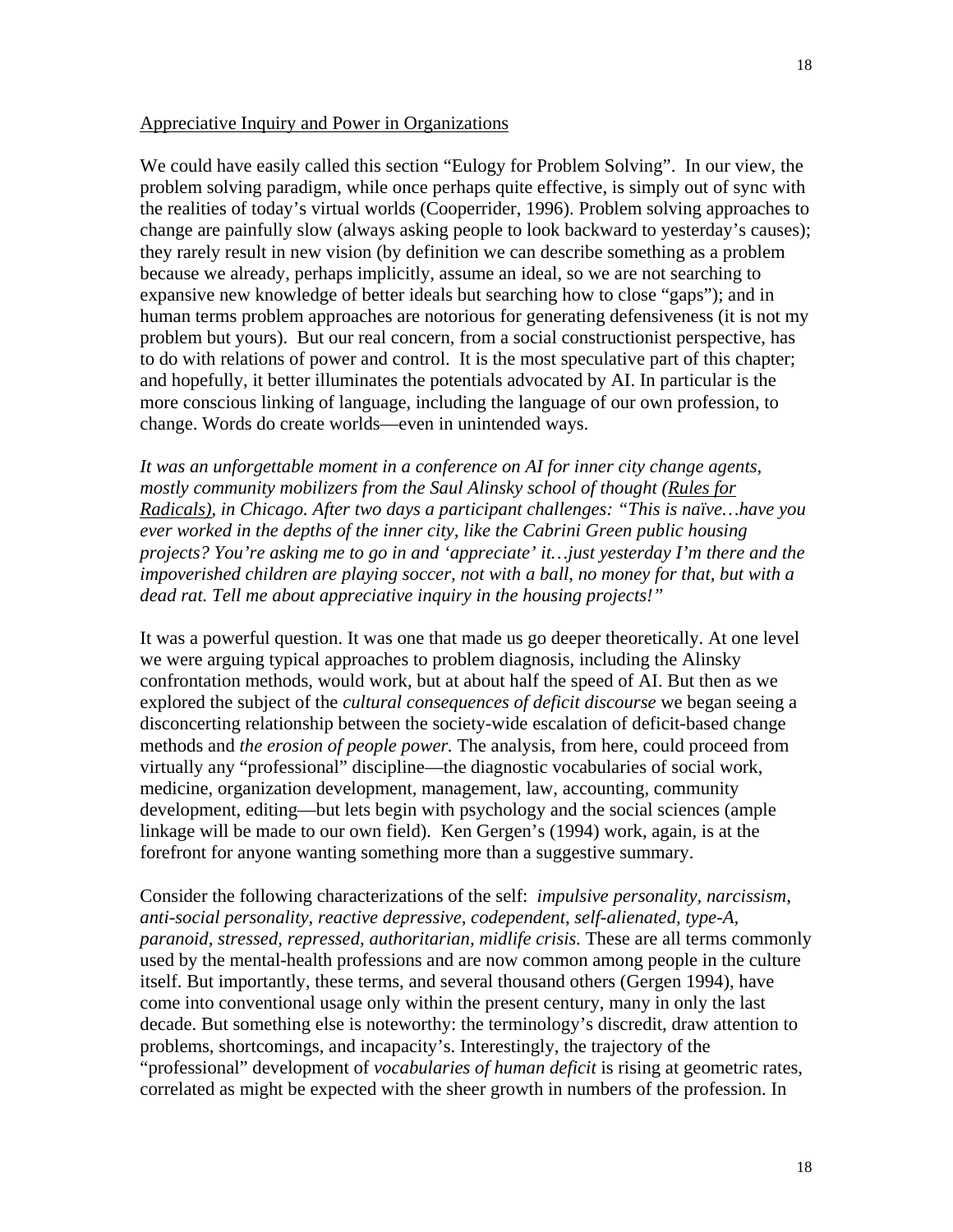### Appreciative Inquiry and Power in Organizations

We could have easily called this section "Eulogy for Problem Solving". In our view, the problem solving paradigm, while once perhaps quite effective, is simply out of sync with the realities of today's virtual worlds (Cooperrider, 1996). Problem solving approaches to change are painfully slow (always asking people to look backward to yesterday's causes); they rarely result in new vision (by definition we can describe something as a problem because we already, perhaps implicitly, assume an ideal, so we are not searching to expansive new knowledge of better ideals but searching how to close "gaps"); and in human terms problem approaches are notorious for generating defensiveness (it is not my problem but yours). But our real concern, from a social constructionist perspective, has to do with relations of power and control. It is the most speculative part of this chapter; and hopefully, it better illuminates the potentials advocated by AI. In particular is the more conscious linking of language, including the language of our own profession, to change. Words do create worlds—even in unintended ways.

It was an unforgettable moment in a conference on AI for inner city change agents, *mostly community mobilizers from the Saul Alinsky school of thought (Rules for Radicals), in Chicago. After two days a participant challenges: "This is naïve…have you ever worked in the depths of the inner city, like the Cabrini Green public housing projects? You're asking me to go in and 'appreciate' it…just yesterday I'm there and the impoverished children are playing soccer, not with a ball, no money for that, but with a dead rat. Tell me about appreciative inquiry in the housing projects!"* 

It was a powerful question. It was one that made us go deeper theoretically. At one level we were arguing typical approaches to problem diagnosis, including the Alinsky confrontation methods, would work, but at about half the speed of AI. But then as we explored the subject of the *cultural consequences of deficit discourse* we began seeing a disconcerting relationship between the society-wide escalation of deficit-based change methods and *the erosion of people power.* The analysis, from here, could proceed from virtually any "professional" discipline—the diagnostic vocabularies of social work, medicine, organization development, management, law, accounting, community development, editing—but lets begin with psychology and the social sciences (ample linkage will be made to our own field). Ken Gergen's (1994) work, again, is at the forefront for anyone wanting something more than a suggestive summary.

Consider the following characterizations of the self: *impulsive personality, narcissism, anti-social personality, reactive depressive, codependent, self-alienated, type-A, paranoid, stressed, repressed, authoritarian, midlife crisis.* These are all terms commonly used by the mental-health professions and are now common among people in the culture itself. But importantly, these terms, and several thousand others (Gergen 1994), have come into conventional usage only within the present century, many in only the last decade. But something else is noteworthy: the terminology's discredit, draw attention to problems, shortcomings, and incapacity's. Interestingly, the trajectory of the "professional" development of *vocabularies of human deficit* is rising at geometric rates, correlated as might be expected with the sheer growth in numbers of the profession. In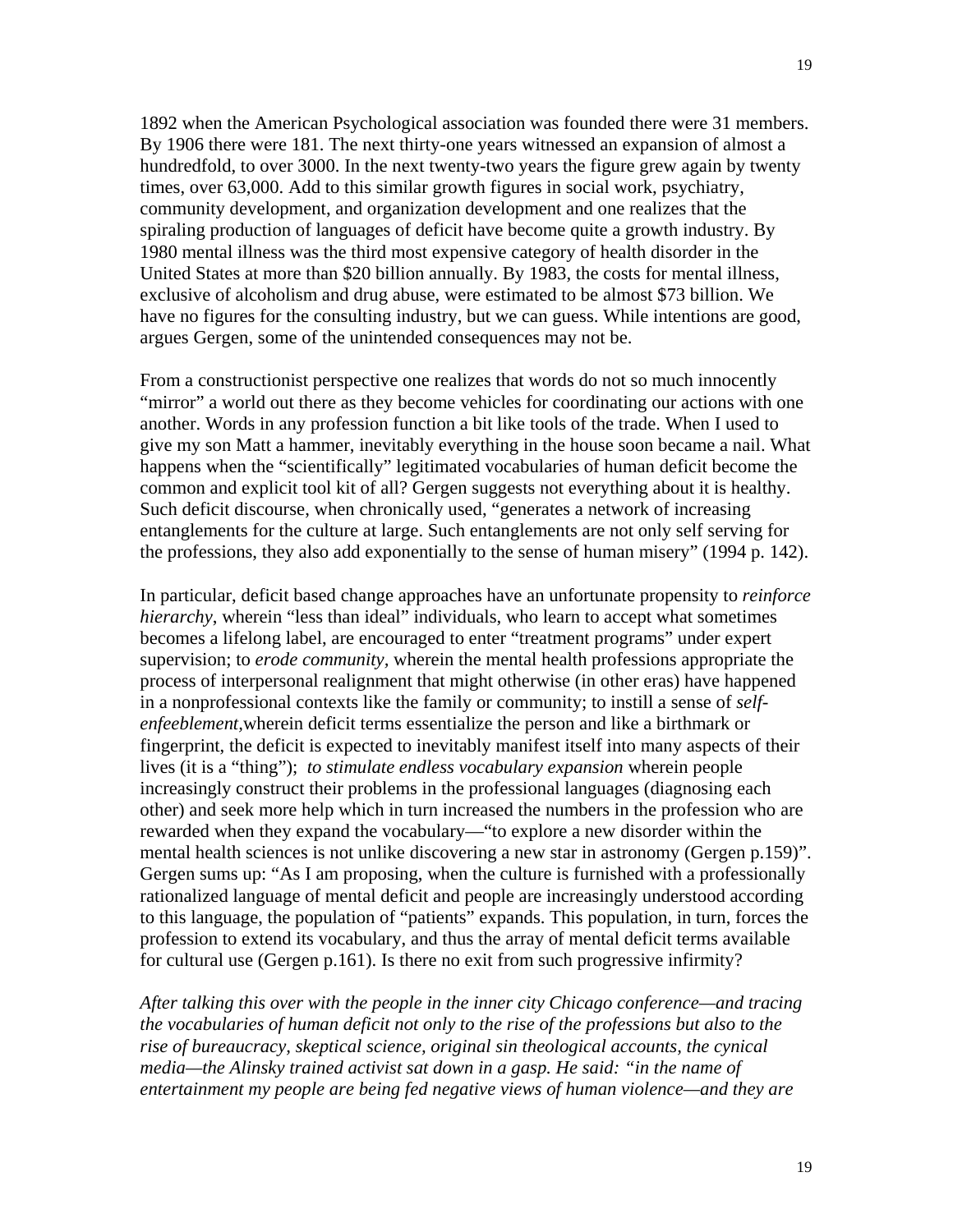1892 when the American Psychological association was founded there were 31 members. By 1906 there were 181. The next thirty-one years witnessed an expansion of almost a hundredfold, to over 3000. In the next twenty-two years the figure grew again by twenty times, over 63,000. Add to this similar growth figures in social work, psychiatry, community development, and organization development and one realizes that the spiraling production of languages of deficit have become quite a growth industry. By 1980 mental illness was the third most expensive category of health disorder in the United States at more than \$20 billion annually. By 1983, the costs for mental illness, exclusive of alcoholism and drug abuse, were estimated to be almost \$73 billion. We have no figures for the consulting industry, but we can guess. While intentions are good, argues Gergen, some of the unintended consequences may not be.

From a constructionist perspective one realizes that words do not so much innocently "mirror" a world out there as they become vehicles for coordinating our actions with one another. Words in any profession function a bit like tools of the trade. When I used to give my son Matt a hammer, inevitably everything in the house soon became a nail. What happens when the "scientifically" legitimated vocabularies of human deficit become the common and explicit tool kit of all? Gergen suggests not everything about it is healthy. Such deficit discourse, when chronically used, "generates a network of increasing entanglements for the culture at large. Such entanglements are not only self serving for the professions, they also add exponentially to the sense of human misery" (1994 p. 142).

In particular, deficit based change approaches have an unfortunate propensity to *reinforce hierarchy*, wherein "less than ideal" individuals, who learn to accept what sometimes becomes a lifelong label, are encouraged to enter "treatment programs" under expert supervision; to *erode community,* wherein the mental health professions appropriate the process of interpersonal realignment that might otherwise (in other eras) have happened in a nonprofessional contexts like the family or community; to instill a sense of *selfenfeeblement,*wherein deficit terms essentialize the person and like a birthmark or fingerprint, the deficit is expected to inevitably manifest itself into many aspects of their lives (it is a "thing"); *to stimulate endless vocabulary expansion* wherein people increasingly construct their problems in the professional languages (diagnosing each other) and seek more help which in turn increased the numbers in the profession who are rewarded when they expand the vocabulary—"to explore a new disorder within the mental health sciences is not unlike discovering a new star in astronomy (Gergen p.159)". Gergen sums up: "As I am proposing, when the culture is furnished with a professionally rationalized language of mental deficit and people are increasingly understood according to this language, the population of "patients" expands. This population, in turn, forces the profession to extend its vocabulary, and thus the array of mental deficit terms available for cultural use (Gergen p.161). Is there no exit from such progressive infirmity?

*After talking this over with the people in the inner city Chicago conference—and tracing the vocabularies of human deficit not only to the rise of the professions but also to the rise of bureaucracy, skeptical science, original sin theological accounts, the cynical media—the Alinsky trained activist sat down in a gasp. He said: "in the name of entertainment my people are being fed negative views of human violence—and they are*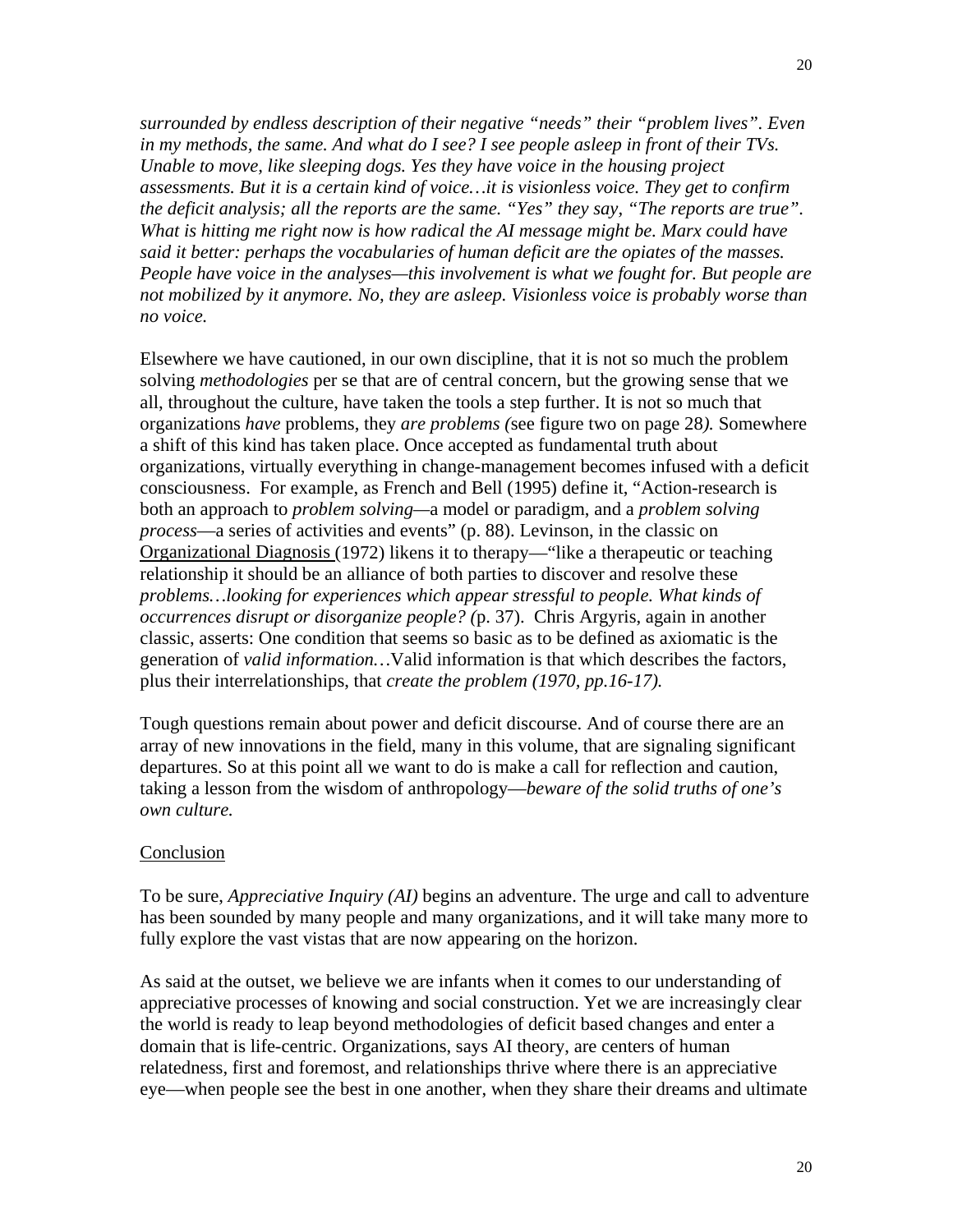*surrounded by endless description of their negative "needs" their "problem lives". Even in my methods, the same. And what do I see? I see people asleep in front of their TVs. Unable to move, like sleeping dogs. Yes they have voice in the housing project assessments. But it is a certain kind of voice…it is visionless voice. They get to confirm the deficit analysis; all the reports are the same. "Yes" they say, "The reports are true". What is hitting me right now is how radical the AI message might be. Marx could have said it better: perhaps the vocabularies of human deficit are the opiates of the masses. People have voice in the analyses—this involvement is what we fought for. But people are not mobilized by it anymore. No, they are asleep. Visionless voice is probably worse than no voice.*

Elsewhere we have cautioned, in our own discipline, that it is not so much the problem solving *methodologies* per se that are of central concern, but the growing sense that we all, throughout the culture, have taken the tools a step further. It is not so much that organizations *have* problems, they *are problems (*see figure two on page 28*).* Somewhere a shift of this kind has taken place. Once accepted as fundamental truth about organizations, virtually everything in change-management becomes infused with a deficit consciousness. For example, as French and Bell (1995) define it, "Action-research is both an approach to *problem solving—*a model or paradigm, and a *problem solving process*—a series of activities and events" (p. 88). Levinson, in the classic on Organizational Diagnosis (1972) likens it to therapy—"like a therapeutic or teaching relationship it should be an alliance of both parties to discover and resolve these *problems…looking for experiences which appear stressful to people. What kinds of occurrences disrupt or disorganize people? (*p. 37). Chris Argyris, again in another classic, asserts: One condition that seems so basic as to be defined as axiomatic is the generation of *valid information…*Valid information is that which describes the factors, plus their interrelationships, that *create the problem (1970, pp.16-17).* 

Tough questions remain about power and deficit discourse. And of course there are an array of new innovations in the field, many in this volume, that are signaling significant departures. So at this point all we want to do is make a call for reflection and caution, taking a lesson from the wisdom of anthropology—*beware of the solid truths of one's own culture.* 

#### Conclusion

To be sure, *Appreciative Inquiry (AI)* begins an adventure. The urge and call to adventure has been sounded by many people and many organizations, and it will take many more to fully explore the vast vistas that are now appearing on the horizon.

As said at the outset, we believe we are infants when it comes to our understanding of appreciative processes of knowing and social construction. Yet we are increasingly clear the world is ready to leap beyond methodologies of deficit based changes and enter a domain that is life-centric. Organizations, says AI theory, are centers of human relatedness, first and foremost, and relationships thrive where there is an appreciative eye—when people see the best in one another, when they share their dreams and ultimate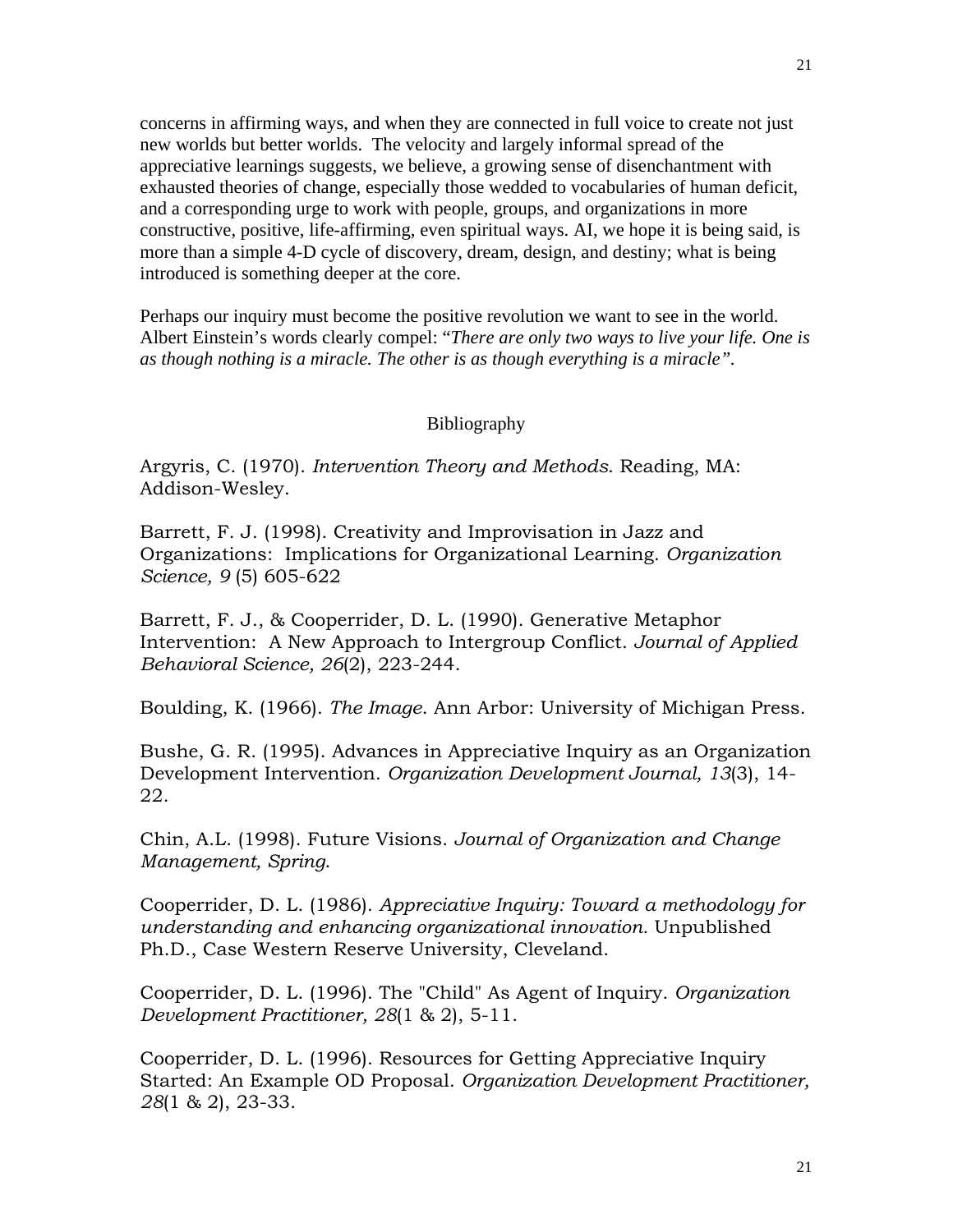concerns in affirming ways, and when they are connected in full voice to create not just new worlds but better worlds. The velocity and largely informal spread of the appreciative learnings suggests, we believe, a growing sense of disenchantment with exhausted theories of change, especially those wedded to vocabularies of human deficit, and a corresponding urge to work with people, groups, and organizations in more constructive, positive, life-affirming, even spiritual ways. AI, we hope it is being said, is more than a simple 4-D cycle of discovery, dream, design, and destiny; what is being introduced is something deeper at the core.

Perhaps our inquiry must become the positive revolution we want to see in the world. Albert Einstein's words clearly compel: "*There are only two ways to live your life. One is as though nothing is a miracle. The other is as though everything is a miracle".* 

#### Bibliography

Argyris, C. (1970). *Intervention Theory and Methods*. Reading, MA: Addison-Wesley.

Barrett, F. J. (1998). Creativity and Improvisation in Jazz and Organizations: Implications for Organizational Learning. *Organization Science, 9* (5) 605-622

Barrett, F. J., & Cooperrider, D. L. (1990). Generative Metaphor Intervention: A New Approach to Intergroup Conflict. *Journal of Applied Behavioral Science, 26*(2), 223-244.

Boulding, K. (1966). *The Image*. Ann Arbor: University of Michigan Press.

Bushe, G. R. (1995). Advances in Appreciative Inquiry as an Organization Development Intervention. *Organization Development Journal, 13*(3), 14- 22.

Chin, A.L. (1998). Future Visions. *Journal of Organization and Change Management, Spring*.

Cooperrider, D. L. (1986). *Appreciative Inquiry: Toward a methodology for understanding and enhancing organizational innovation.* Unpublished Ph.D., Case Western Reserve University, Cleveland.

Cooperrider, D. L. (1996). The "Child" As Agent of Inquiry. *Organization Development Practitioner, 28*(1 & 2), 5-11.

Cooperrider, D. L. (1996). Resources for Getting Appreciative Inquiry Started: An Example OD Proposal. *Organization Development Practitioner, 28*(1 & 2), 23-33.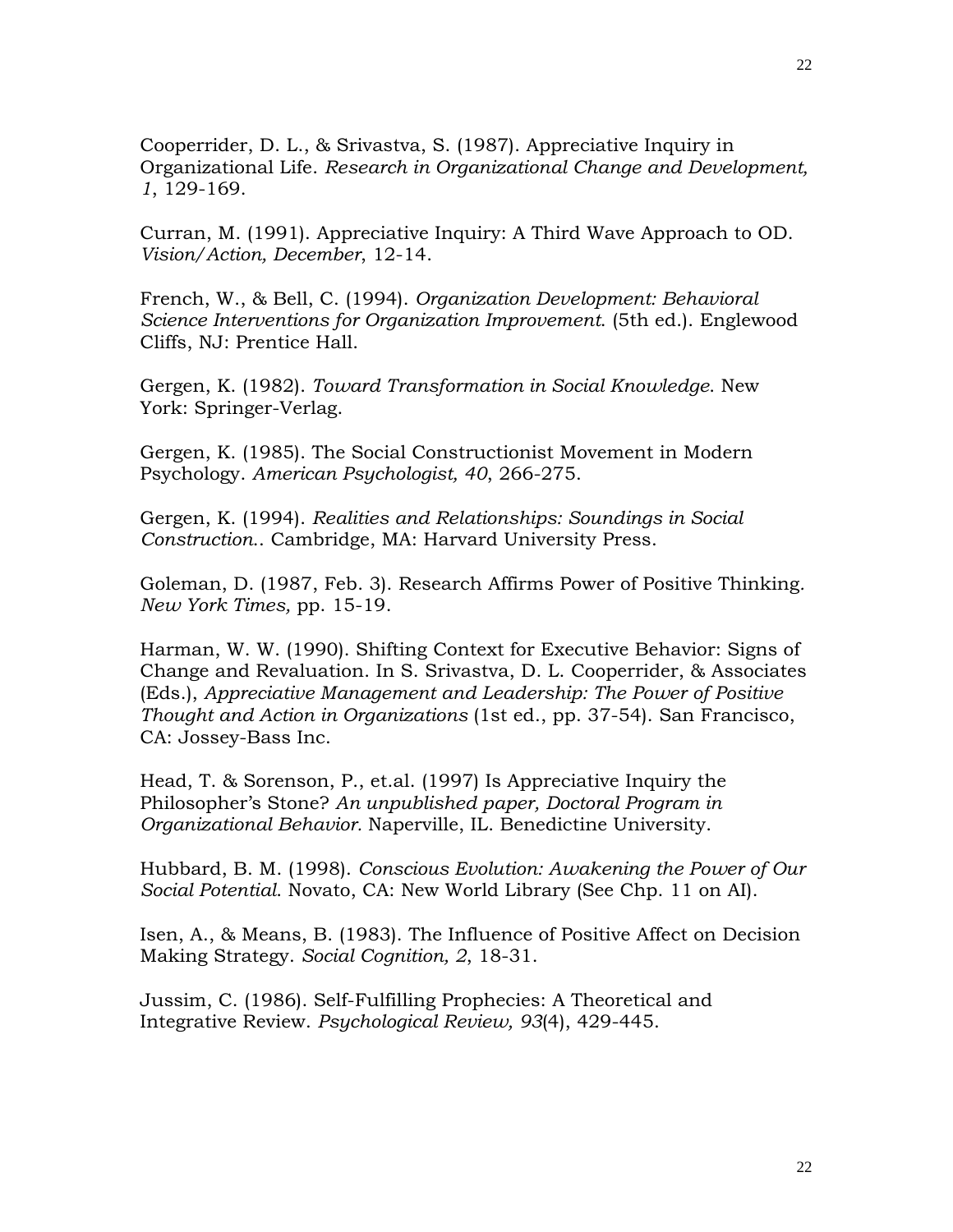Cooperrider, D. L., & Srivastva, S. (1987). Appreciative Inquiry in Organizational Life. *Research in Organizational Change and Development, 1*, 129-169.

Curran, M. (1991). Appreciative Inquiry: A Third Wave Approach to OD. *Vision/Action, December*, 12-14.

French, W., & Bell, C. (1994). *Organization Development: Behavioral Science Interventions for Organization Improvement*. (5th ed.). Englewood Cliffs, NJ: Prentice Hall.

Gergen, K. (1982). *Toward Transformation in Social Knowledge*. New York: Springer-Verlag.

Gergen, K. (1985). The Social Constructionist Movement in Modern Psychology. *American Psychologist, 40*, 266-275.

Gergen, K. (1994). *Realities and Relationships: Soundings in Social Construction*.. Cambridge, MA: Harvard University Press.

Goleman, D. (1987, Feb. 3). Research Affirms Power of Positive Thinking*. New York Times,* pp. 15-19.

Harman, W. W. (1990). Shifting Context for Executive Behavior: Signs of Change and Revaluation. In S. Srivastva, D. L. Cooperrider, & Associates (Eds.), *Appreciative Management and Leadership: The Power of Positive Thought and Action in Organizations* (1st ed., pp. 37-54). San Francisco, CA: Jossey-Bass Inc.

Head, T. & Sorenson, P., et.al. (1997) Is Appreciative Inquiry the Philosopher's Stone? *An unpublished paper, Doctoral Program in Organizational Behavior.* Naperville, IL. Benedictine University.

Hubbard, B. M. (1998). *Conscious Evolution: Awakening the Power of Our Social Potential*. Novato, CA: New World Library (See Chp. 11 on AI).

Isen, A., & Means, B. (1983). The Influence of Positive Affect on Decision Making Strategy. *Social Cognition, 2*, 18-31.

Jussim, C. (1986). Self-Fulfilling Prophecies: A Theoretical and Integrative Review. *Psychological Review, 93*(4), 429-445.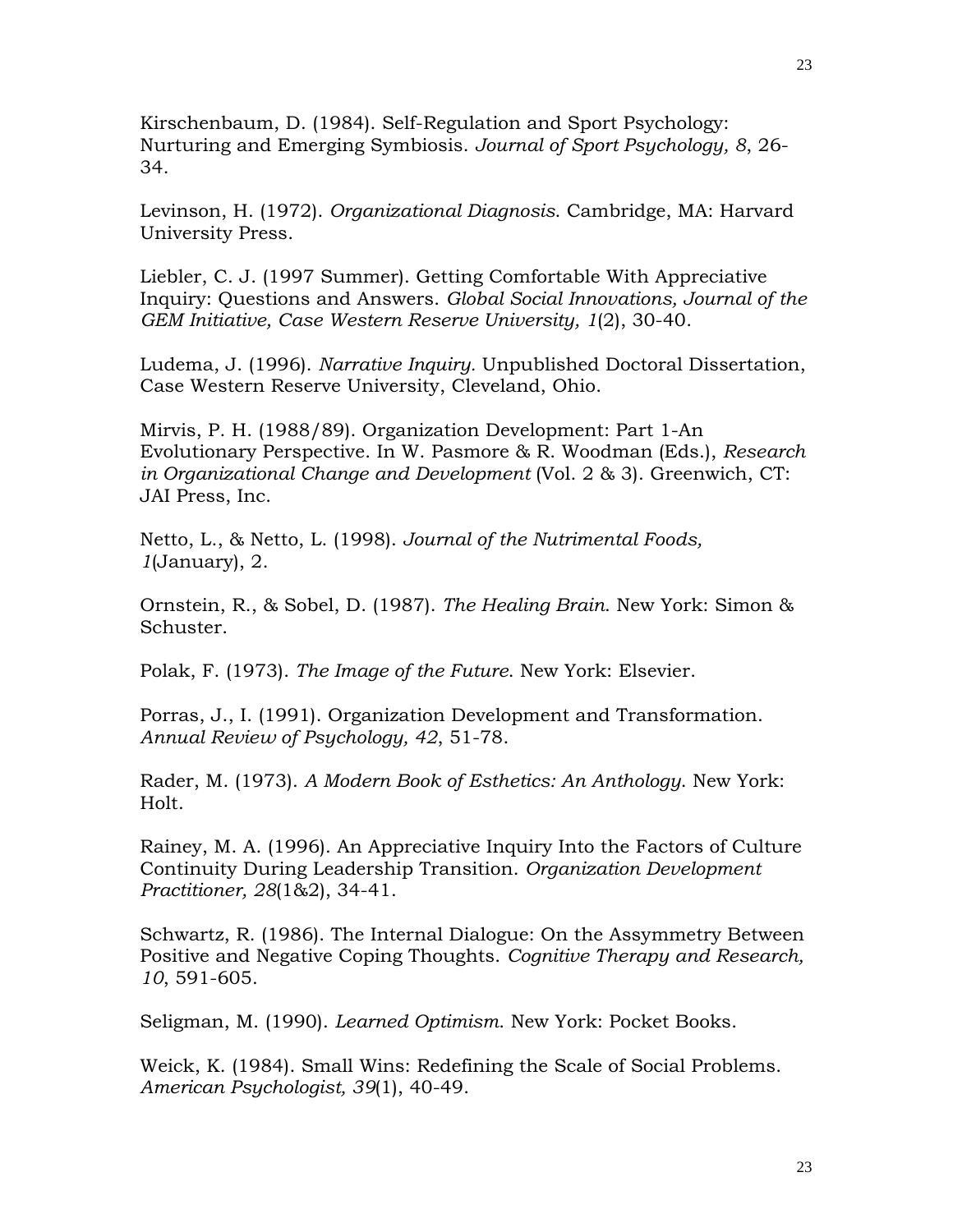Kirschenbaum, D. (1984). Self-Regulation and Sport Psychology: Nurturing and Emerging Symbiosis. *Journal of Sport Psychology, 8*, 26- 34.

Levinson, H. (1972). *Organizational Diagnosis*. Cambridge, MA: Harvard University Press.

Liebler, C. J. (1997 Summer). Getting Comfortable With Appreciative Inquiry: Questions and Answers. *Global Social Innovations, Journal of the GEM Initiative, Case Western Reserve University, 1*(2), 30-40.

Ludema, J. (1996). *Narrative Inquiry.* Unpublished Doctoral Dissertation, Case Western Reserve University, Cleveland, Ohio.

Mirvis, P. H. (1988/89). Organization Development: Part 1-An Evolutionary Perspective. In W. Pasmore & R. Woodman (Eds.), *Research in Organizational Change and Development* (Vol. 2 & 3). Greenwich, CT: JAI Press, Inc.

Netto, L., & Netto, L. (1998). *Journal of the Nutrimental Foods, 1*(January), 2.

Ornstein, R., & Sobel, D. (1987). *The Healing Brain*. New York: Simon & Schuster.

Polak, F. (1973). *The Image of the Future*. New York: Elsevier.

Porras, J., I. (1991). Organization Development and Transformation. *Annual Review of Psychology, 42*, 51-78.

Rader, M. (1973). *A Modern Book of Esthetics: An Anthology*. New York: Holt.

Rainey, M. A. (1996). An Appreciative Inquiry Into the Factors of Culture Continuity During Leadership Transition. *Organization Development Practitioner, 28*(1&2), 34-41.

Schwartz, R. (1986). The Internal Dialogue: On the Assymmetry Between Positive and Negative Coping Thoughts. *Cognitive Therapy and Research, 10*, 591-605.

Seligman, M. (1990). *Learned Optimism*. New York: Pocket Books.

Weick, K. (1984). Small Wins: Redefining the Scale of Social Problems. *American Psychologist, 39*(1), 40-49.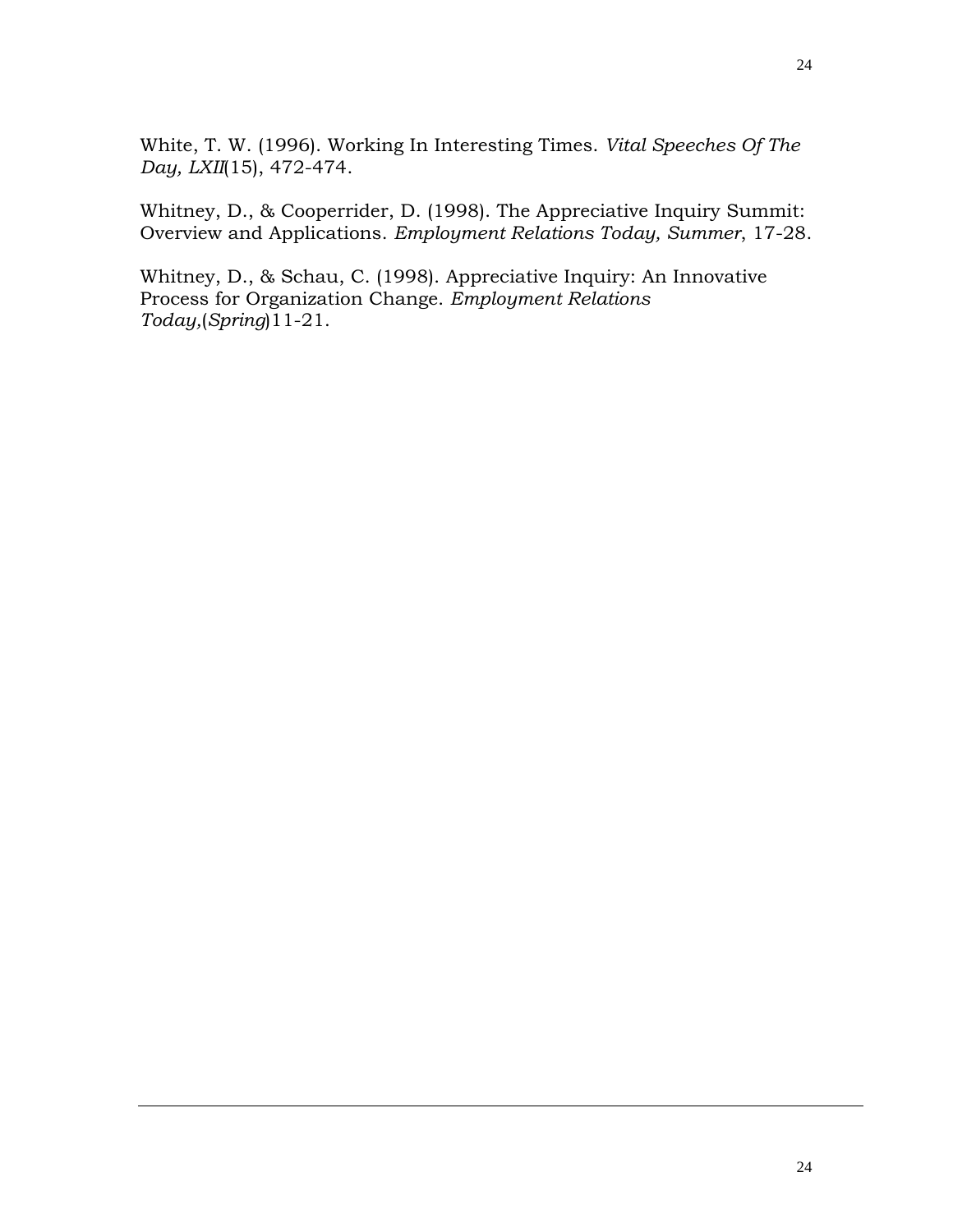White, T. W. (1996). Working In Interesting Times. *Vital Speeches Of The Day, LXII*(15), 472-474.

Whitney, D., & Cooperrider, D. (1998). The Appreciative Inquiry Summit: Overview and Applications. *Employment Relations Today, Summer*, 17-28.

Whitney, D., & Schau, C. (1998). Appreciative Inquiry: An Innovative Process for Organization Change. *Employment Relations Today,*(*Spring*)11-21.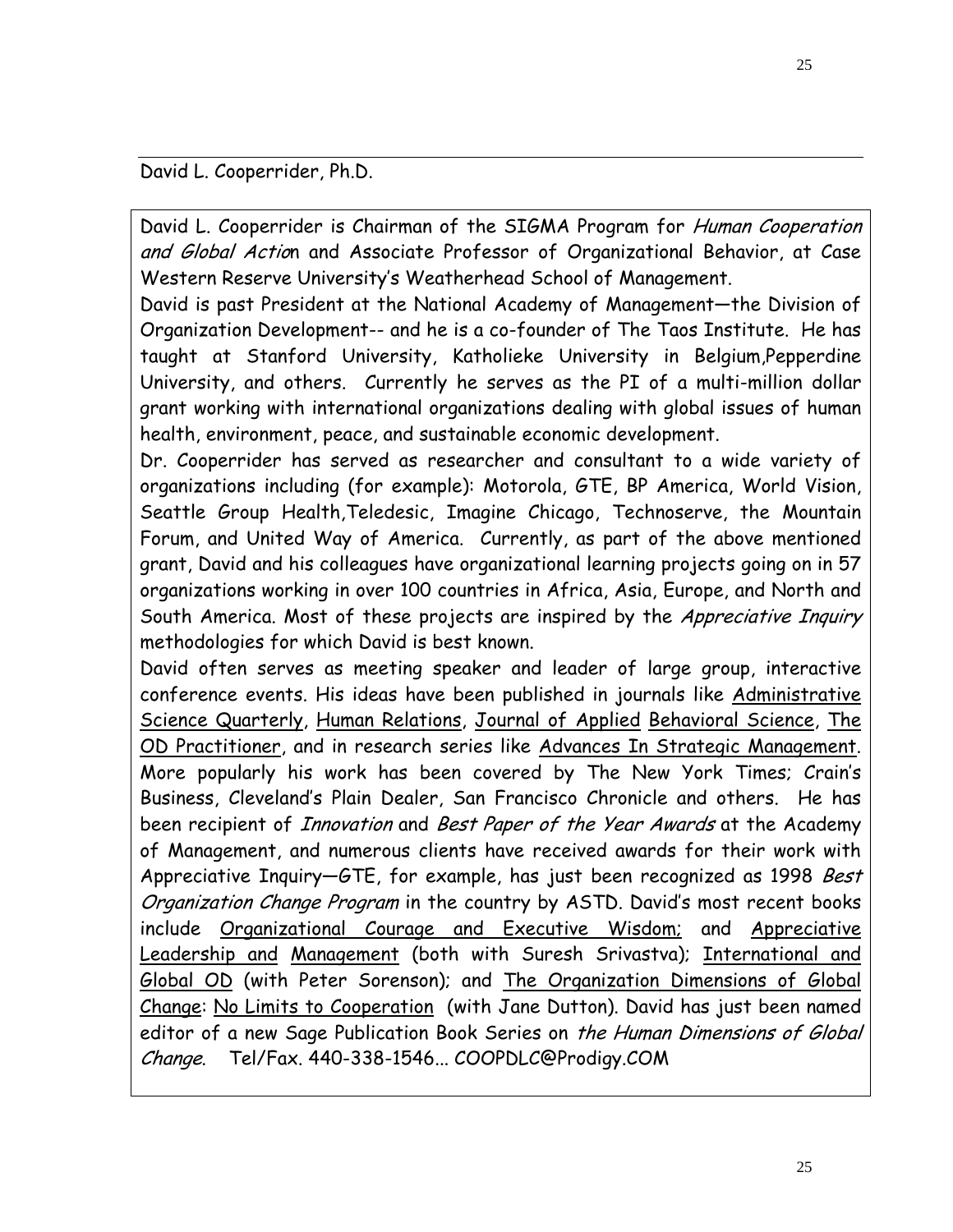David L. Cooperrider, Ph.D.

David L. Cooperrider is Chairman of the SIGMA Program for Human Cooperation and Global Action and Associate Professor of Organizational Behavior, at Case Western Reserve University's Weatherhead School of Management.

David is past President at the National Academy of Management—the Division of Organization Development-- and he is a co-founder of The Taos Institute. He has taught at Stanford University, Katholieke University in Belgium,Pepperdine University, and others. Currently he serves as the PI of a multi-million dollar grant working with international organizations dealing with global issues of human health, environment, peace, and sustainable economic development.

Dr. Cooperrider has served as researcher and consultant to a wide variety of organizations including (for example): Motorola, GTE, BP America, World Vision, Seattle Group Health,Teledesic, Imagine Chicago, Technoserve, the Mountain Forum, and United Way of America. Currently, as part of the above mentioned grant, David and his colleagues have organizational learning projects going on in 57 organizations working in over 100 countries in Africa, Asia, Europe, and North and South America. Most of these projects are inspired by the Appreciative Inquiry methodologies for which David is best known.

David often serves as meeting speaker and leader of large group, interactive conference events. His ideas have been published in journals like Administrative Science Quarterly, Human Relations, Journal of Applied Behavioral Science, The OD Practitioner, and in research series like Advances In Strategic Management. More popularly his work has been covered by The New York Times; Crain's Business, Cleveland's Plain Dealer, San Francisco Chronicle and others. He has been recipient of *Innovation* and *Best Paper of the Year Awards* at the Academy of Management, and numerous clients have received awards for their work with Appreciative Inquiry-GTE, for example, has just been recognized as 1998 Best Organization Change Program in the country by ASTD. David's most recent books include Organizational Courage and Executive Wisdom; and Appreciative Leadership and Management (both with Suresh Srivastva); International and Global OD (with Peter Sorenson); and The Organization Dimensions of Global Change: No Limits to Cooperation (with Jane Dutton). David has just been named editor of a new Sage Publication Book Series on the Human Dimensions of Global Change. Tel/Fax. 440-338-1546... COOPDLC@Prodigy.COM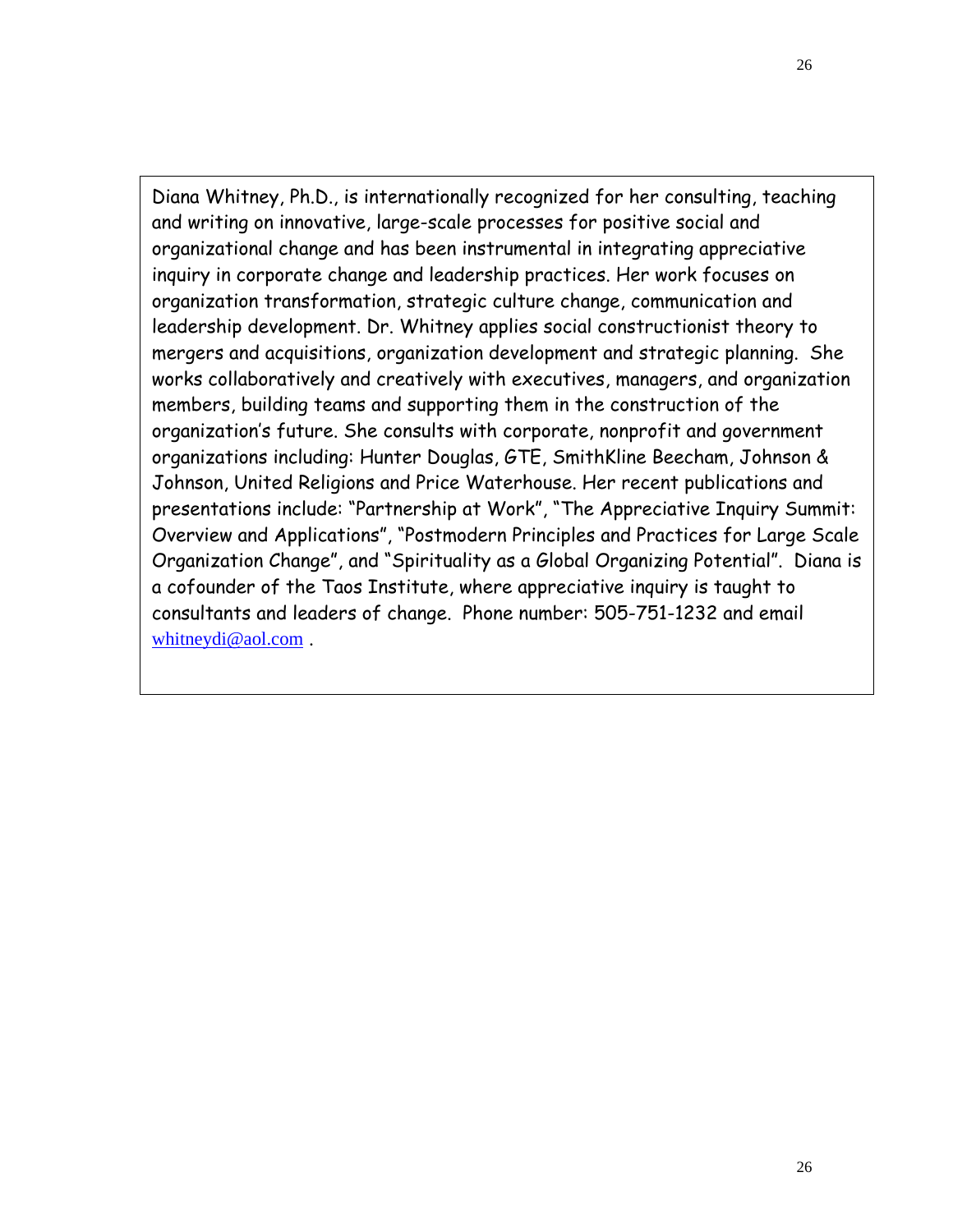Diana Whitney, Ph.D., is internationally recognized for her consulting, teaching and writing on innovative, large-scale processes for positive social and organizational change and has been instrumental in integrating appreciative inquiry in corporate change and leadership practices. Her work focuses on organization transformation, strategic culture change, communication and leadership development. Dr. Whitney applies social constructionist theory to mergers and acquisitions, organization development and strategic planning. She works collaboratively and creatively with executives, managers, and organization members, building teams and supporting them in the construction of the organization's future. She consults with corporate, nonprofit and government organizations including: Hunter Douglas, GTE, SmithKline Beecham, Johnson & Johnson, United Religions and Price Waterhouse. Her recent publications and presentations include: "Partnership at Work", "The Appreciative Inquiry Summit: Overview and Applications", "Postmodern Principles and Practices for Large Scale Organization Change", and "Spirituality as a Global Organizing Potential". Diana is a cofounder of the Taos Institute, where appreciative inquiry is taught to consultants and leaders of change. Phone number: 505-751-1232 and email [whitneydi@aol.com](mailto:Whtineydi@aol.com) .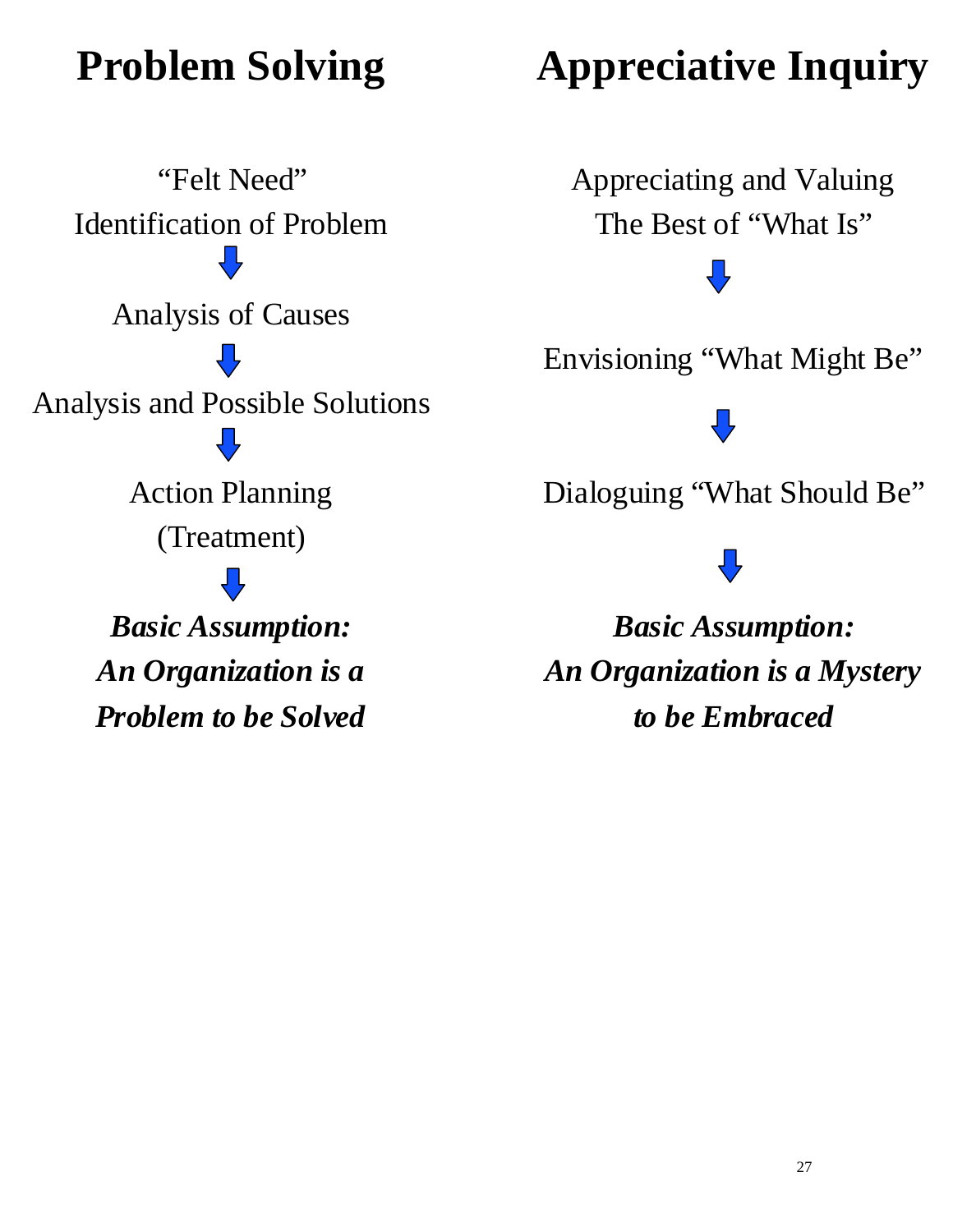# **Problem Solving**

*"*Felt Need" Identification of Problem Analysis of Causes Analysis and Possible Solutions Action Planning (Treatment) *Basic Assumption: An Organization is a*

*Problem to be Solved*

# **17 Appreciative Inquiry**

Appreciating and Valuing The Best of "What Is"

Envisioning "What Might Be"

Dialoguing "What Should Be"

*Basic Assumption: An Organization is a Mystery to be Embraced*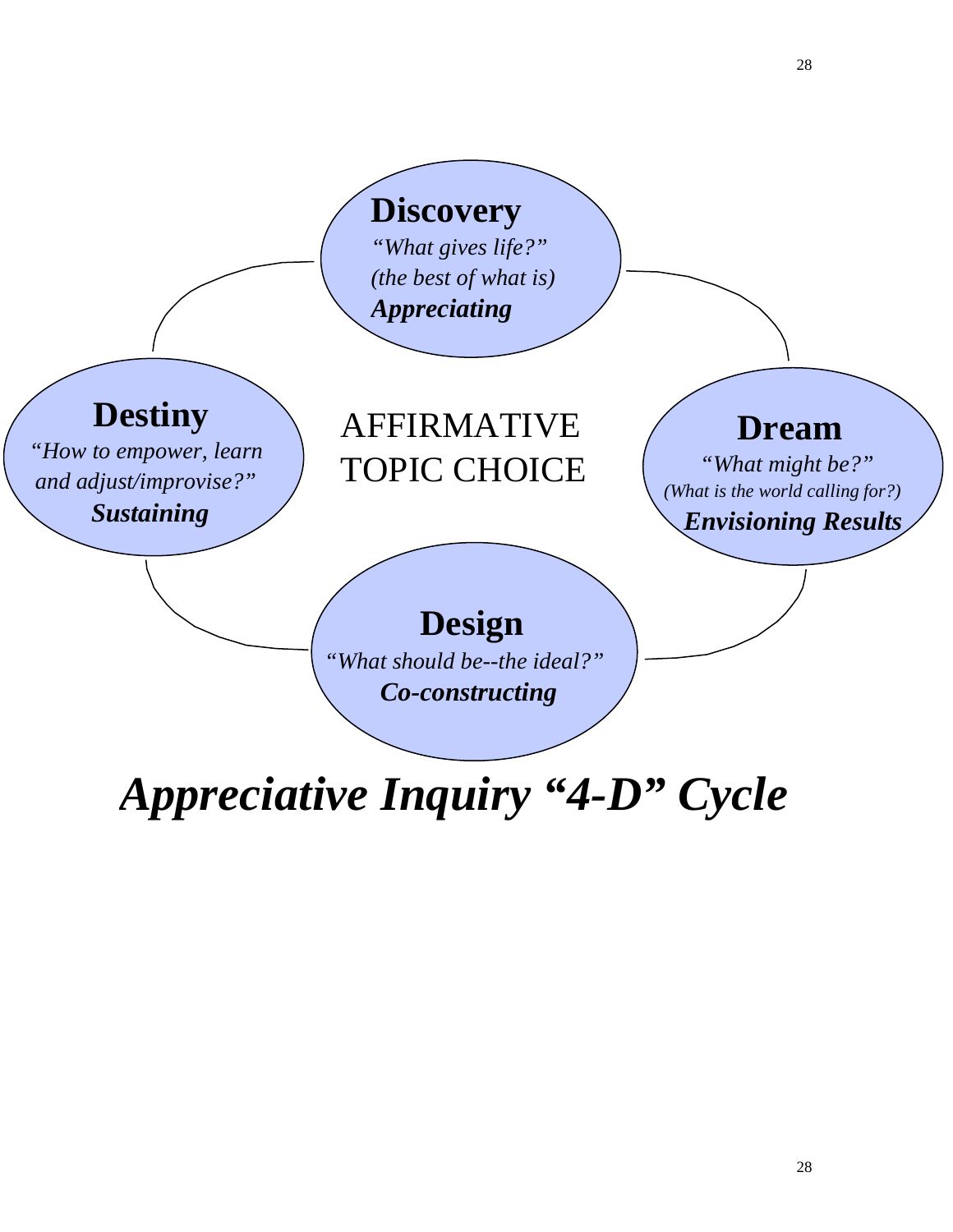

# *Appreciative Inquiry "4-D" Cycle*

28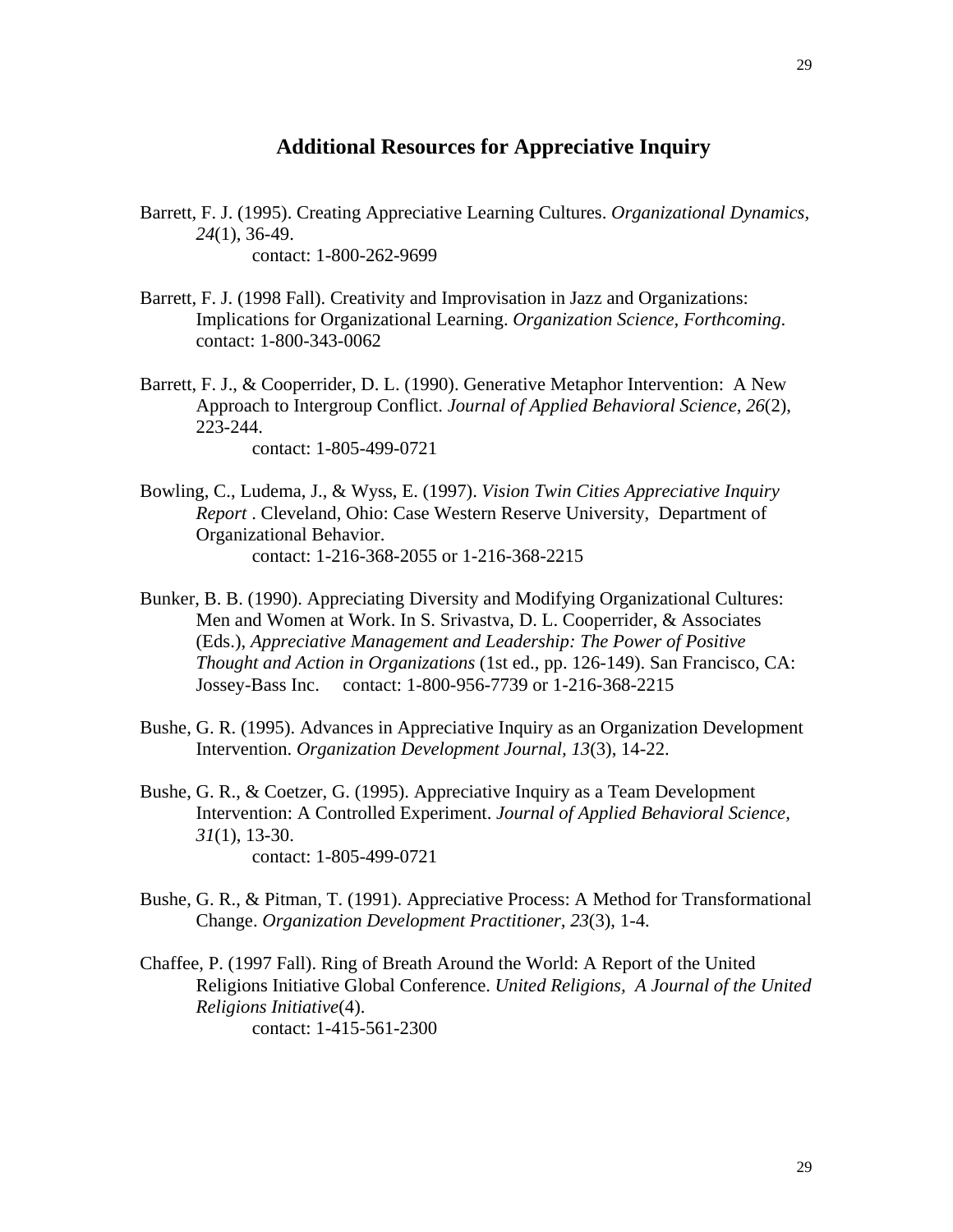## **Additional Resources for Appreciative Inquiry**

- Barrett, F. J. (1995). Creating Appreciative Learning Cultures. *Organizational Dynamics, 24*(1), 36-49. contact: 1-800-262-9699
- Barrett, F. J. (1998 Fall). Creativity and Improvisation in Jazz and Organizations: Implications for Organizational Learning. *Organization Science, Forthcoming*. contact: 1-800-343-0062
- Barrett, F. J., & Cooperrider, D. L. (1990). Generative Metaphor Intervention: A New Approach to Intergroup Conflict. *Journal of Applied Behavioral Science, 26*(2), 223-244.

contact: 1-805-499-0721

- Bowling, C., Ludema, J., & Wyss, E. (1997). *Vision Twin Cities Appreciative Inquiry Report* . Cleveland, Ohio: Case Western Reserve University, Department of Organizational Behavior. contact: 1-216-368-2055 or 1-216-368-2215
- Bunker, B. B. (1990). Appreciating Diversity and Modifying Organizational Cultures: Men and Women at Work. In S. Srivastva, D. L. Cooperrider, & Associates (Eds.), *Appreciative Management and Leadership: The Power of Positive Thought and Action in Organizations* (1st ed., pp. 126-149). San Francisco, CA: Jossey-Bass Inc. contact: 1-800-956-7739 or 1-216-368-2215
- Bushe, G. R. (1995). Advances in Appreciative Inquiry as an Organization Development Intervention. *Organization Development Journal, 13*(3), 14-22.
- Bushe, G. R., & Coetzer, G. (1995). Appreciative Inquiry as a Team Development Intervention: A Controlled Experiment. *Journal of Applied Behavioral Science, 31*(1), 13-30. contact: 1-805-499-0721
- Bushe, G. R., & Pitman, T. (1991). Appreciative Process: A Method for Transformational Change. *Organization Development Practitioner, 23*(3), 1-4.
- Chaffee, P. (1997 Fall). Ring of Breath Around the World: A Report of the United Religions Initiative Global Conference. *United Religions, A Journal of the United Religions Initiative*(4). contact: 1-415-561-2300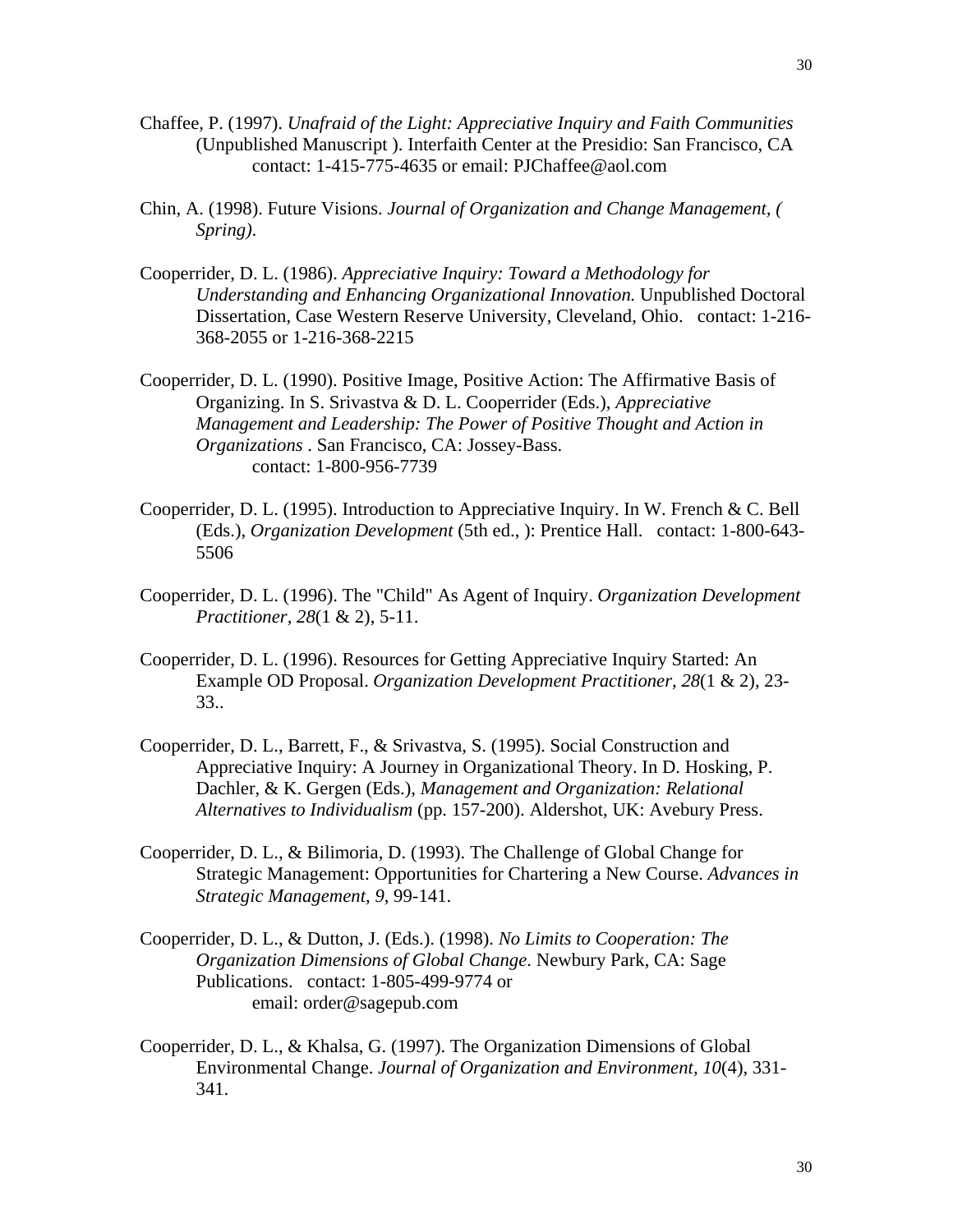- Chaffee, P. (1997). *Unafraid of the Light: Appreciative Inquiry and Faith Communities* (Unpublished Manuscript ). Interfaith Center at the Presidio: San Francisco, CA contact: 1-415-775-4635 or email: PJChaffee@aol.com
- Chin, A. (1998). Future Visions. *Journal of Organization and Change Management, ( Spring)*.
- Cooperrider, D. L. (1986). *Appreciative Inquiry: Toward a Methodology for Understanding and Enhancing Organizational Innovation.* Unpublished Doctoral Dissertation, Case Western Reserve University, Cleveland, Ohio. contact: 1-216- 368-2055 or 1-216-368-2215
- Cooperrider, D. L. (1990). Positive Image, Positive Action: The Affirmative Basis of Organizing. In S. Srivastva & D. L. Cooperrider (Eds.), *Appreciative Management and Leadership: The Power of Positive Thought and Action in Organizations* . San Francisco, CA: Jossey-Bass. contact: 1-800-956-7739
- Cooperrider, D. L. (1995). Introduction to Appreciative Inquiry. In W. French & C. Bell (Eds.), *Organization Development* (5th ed., ): Prentice Hall. contact: 1-800-643- 5506
- Cooperrider, D. L. (1996). The "Child" As Agent of Inquiry. *Organization Development Practitioner, 28*(1 & 2), 5-11.
- Cooperrider, D. L. (1996). Resources for Getting Appreciative Inquiry Started: An Example OD Proposal. *Organization Development Practitioner, 28*(1 & 2), 23- 33..
- Cooperrider, D. L., Barrett, F., & Srivastva, S. (1995). Social Construction and Appreciative Inquiry: A Journey in Organizational Theory. In D. Hosking, P. Dachler, & K. Gergen (Eds.), *Management and Organization: Relational Alternatives to Individualism* (pp. 157-200). Aldershot, UK: Avebury Press.
- Cooperrider, D. L., & Bilimoria, D. (1993). The Challenge of Global Change for Strategic Management: Opportunities for Chartering a New Course. *Advances in Strategic Management, 9*, 99-141.
- Cooperrider, D. L., & Dutton, J. (Eds.). (1998). *No Limits to Cooperation: The Organization Dimensions of Global Change*. Newbury Park, CA: Sage Publications. contact: 1-805-499-9774 or email: order@sagepub.com
- Cooperrider, D. L., & Khalsa, G. (1997). The Organization Dimensions of Global Environmental Change. *Journal of Organization and Environment, 10*(4), 331- 341.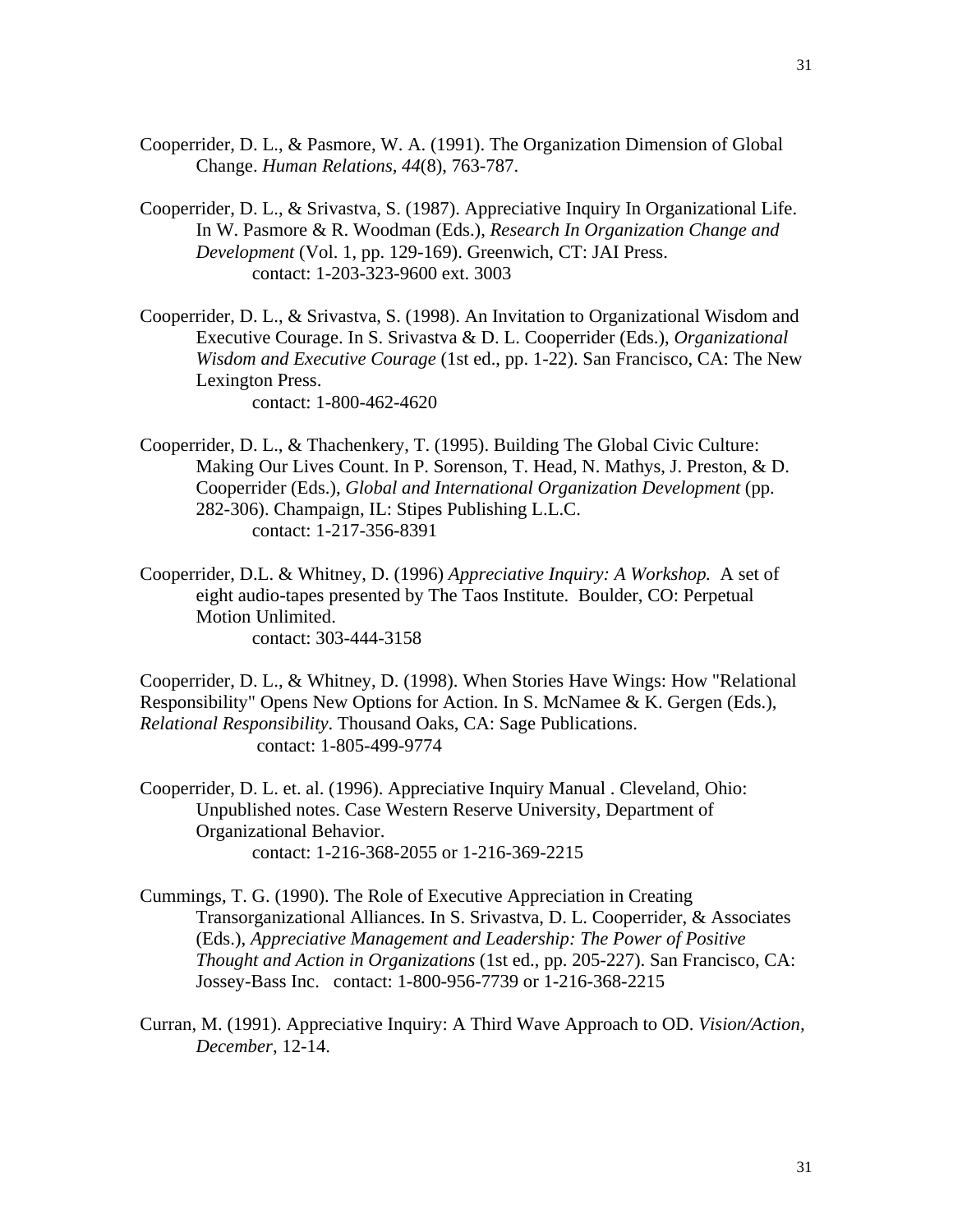- Cooperrider, D. L., & Pasmore, W. A. (1991). The Organization Dimension of Global Change. *Human Relations, 44*(8), 763-787.
- Cooperrider, D. L., & Srivastva, S. (1987). Appreciative Inquiry In Organizational Life. In W. Pasmore & R. Woodman (Eds.), *Research In Organization Change and Development* (Vol. 1, pp. 129-169). Greenwich, CT: JAI Press. contact: 1-203-323-9600 ext. 3003
- Cooperrider, D. L., & Srivastva, S. (1998). An Invitation to Organizational Wisdom and Executive Courage. In S. Srivastva & D. L. Cooperrider (Eds.), *Organizational Wisdom and Executive Courage* (1st ed., pp. 1-22). San Francisco, CA: The New Lexington Press. contact: 1-800-462-4620
- Cooperrider, D. L., & Thachenkery, T. (1995). Building The Global Civic Culture: Making Our Lives Count. In P. Sorenson, T. Head, N. Mathys, J. Preston, & D. Cooperrider (Eds.), *Global and International Organization Development* (pp. 282-306). Champaign, IL: Stipes Publishing L.L.C. contact: 1-217-356-8391
- Cooperrider, D.L. & Whitney, D. (1996) *Appreciative Inquiry: A Workshop.* A set of eight audio-tapes presented by The Taos Institute. Boulder, CO: Perpetual Motion Unlimited. contact: 303-444-3158

Cooperrider, D. L., & Whitney, D. (1998). When Stories Have Wings: How "Relational Responsibility" Opens New Options for Action. In S. McNamee & K. Gergen (Eds.), *Relational Responsibility*. Thousand Oaks, CA: Sage Publications. contact: 1-805-499-9774

- Cooperrider, D. L. et. al. (1996). Appreciative Inquiry Manual . Cleveland, Ohio: Unpublished notes. Case Western Reserve University, Department of Organizational Behavior. contact: 1-216-368-2055 or 1-216-369-2215
- Cummings, T. G. (1990). The Role of Executive Appreciation in Creating Transorganizational Alliances. In S. Srivastva, D. L. Cooperrider, & Associates (Eds.), *Appreciative Management and Leadership: The Power of Positive Thought and Action in Organizations* (1st ed., pp. 205-227). San Francisco, CA: Jossey-Bass Inc. contact: 1-800-956-7739 or 1-216-368-2215
- Curran, M. (1991). Appreciative Inquiry: A Third Wave Approach to OD. *Vision/Action, December*, 12-14.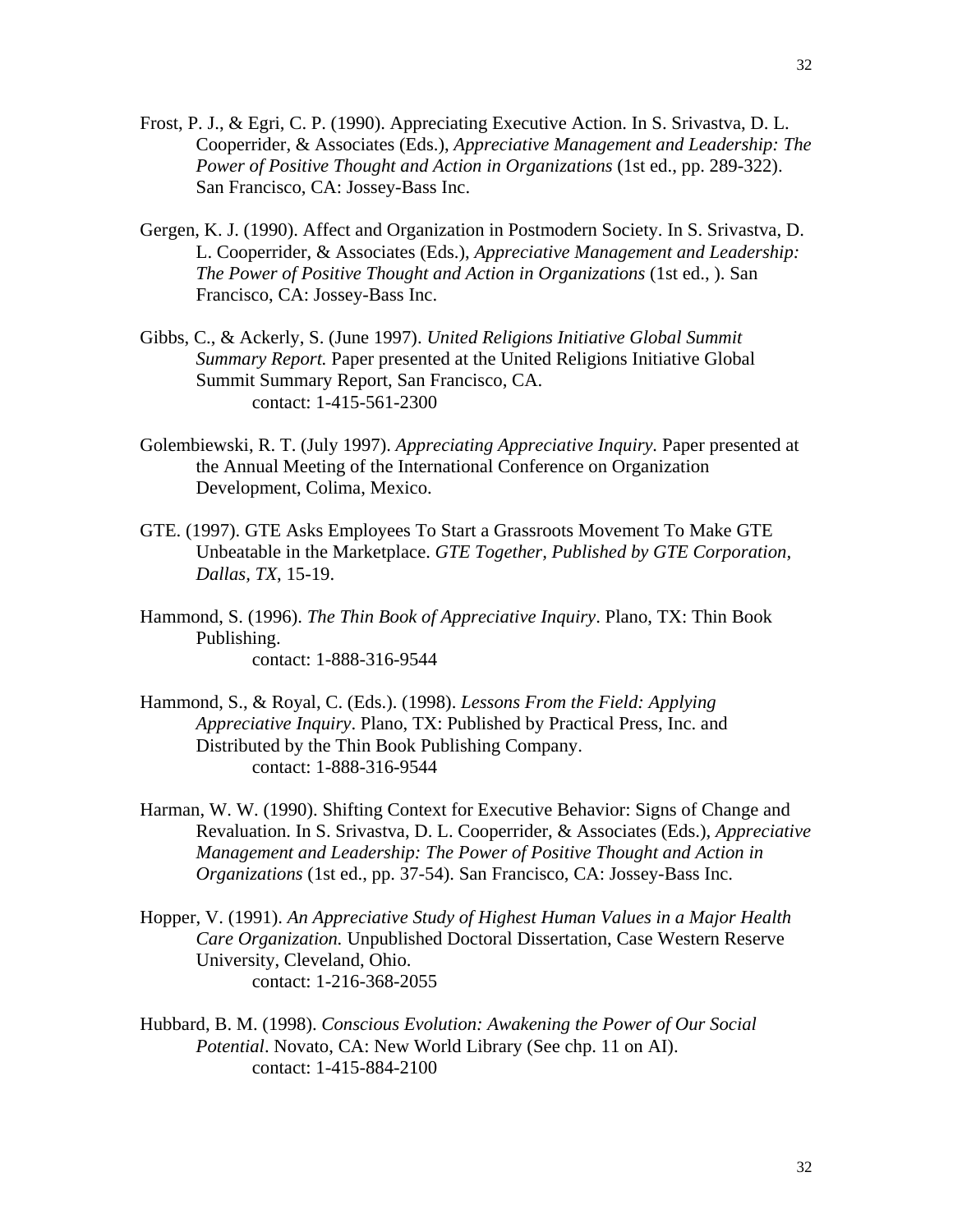- Frost, P. J., & Egri, C. P. (1990). Appreciating Executive Action. In S. Srivastva, D. L. Cooperrider, & Associates (Eds.), *Appreciative Management and Leadership: The Power of Positive Thought and Action in Organizations* (1st ed., pp. 289-322). San Francisco, CA: Jossey-Bass Inc.
- Gergen, K. J. (1990). Affect and Organization in Postmodern Society. In S. Srivastva, D. L. Cooperrider, & Associates (Eds.), *Appreciative Management and Leadership: The Power of Positive Thought and Action in Organizations* (1st ed., ). San Francisco, CA: Jossey-Bass Inc.
- Gibbs, C., & Ackerly, S. (June 1997). *United Religions Initiative Global Summit Summary Report.* Paper presented at the United Religions Initiative Global Summit Summary Report, San Francisco, CA. contact: 1-415-561-2300
- Golembiewski, R. T. (July 1997). *Appreciating Appreciative Inquiry.* Paper presented at the Annual Meeting of the International Conference on Organization Development, Colima, Mexico.
- GTE. (1997). GTE Asks Employees To Start a Grassroots Movement To Make GTE Unbeatable in the Marketplace. *GTE Together, Published by GTE Corporation, Dallas, TX*, 15-19.
- Hammond, S. (1996). *The Thin Book of Appreciative Inquiry*. Plano, TX: Thin Book Publishing. contact: 1-888-316-9544
- Hammond, S., & Royal, C. (Eds.). (1998). *Lessons From the Field: Applying Appreciative Inquiry*. Plano, TX: Published by Practical Press, Inc. and Distributed by the Thin Book Publishing Company. contact: 1-888-316-9544
- Harman, W. W. (1990). Shifting Context for Executive Behavior: Signs of Change and Revaluation. In S. Srivastva, D. L. Cooperrider, & Associates (Eds.), *Appreciative Management and Leadership: The Power of Positive Thought and Action in Organizations* (1st ed., pp. 37-54). San Francisco, CA: Jossey-Bass Inc.
- Hopper, V. (1991). *An Appreciative Study of Highest Human Values in a Major Health Care Organization.* Unpublished Doctoral Dissertation, Case Western Reserve University, Cleveland, Ohio. contact: 1-216-368-2055
- Hubbard, B. M. (1998). *Conscious Evolution: Awakening the Power of Our Social Potential*. Novato, CA: New World Library (See chp. 11 on AI). contact: 1-415-884-2100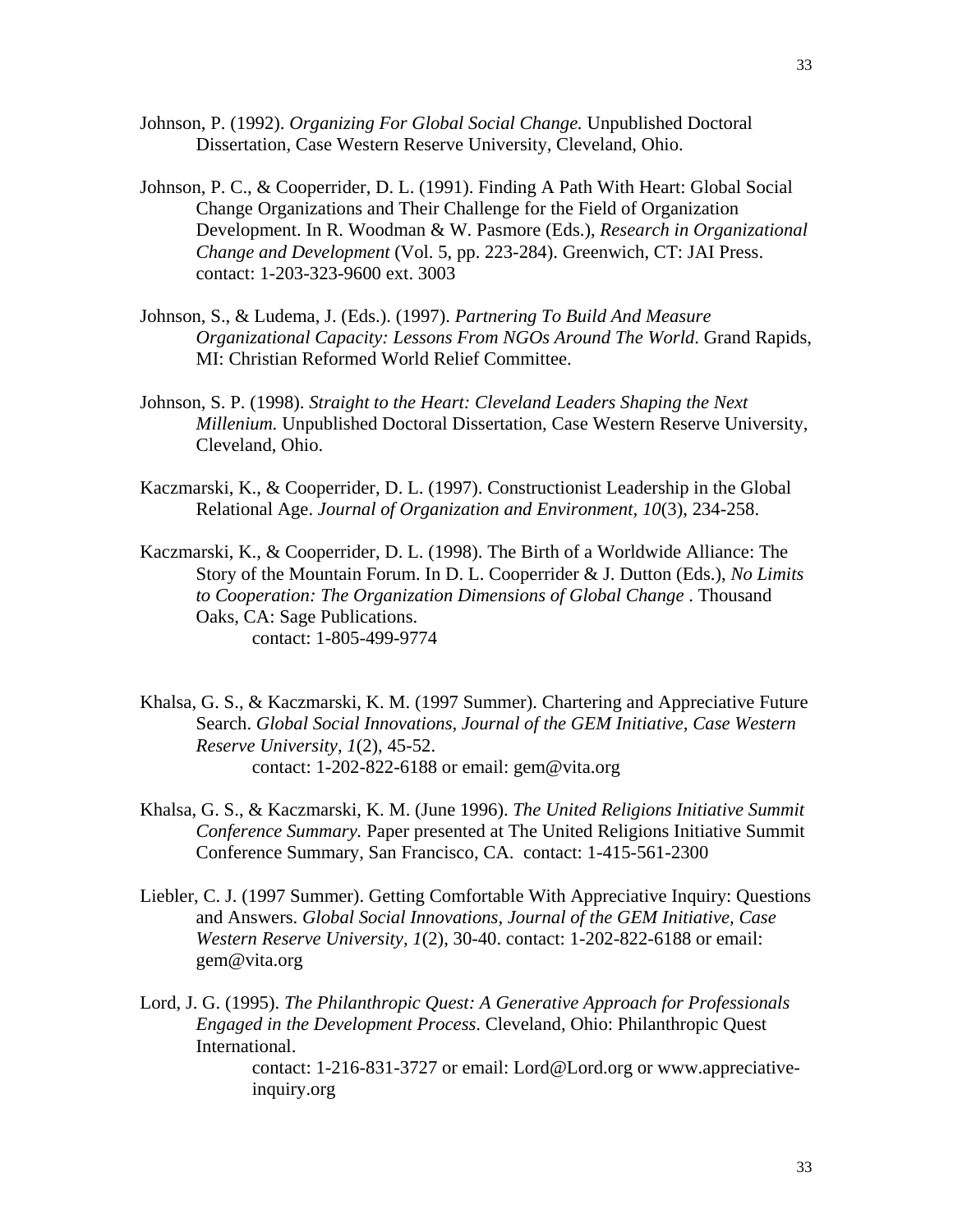- Johnson, P. (1992). *Organizing For Global Social Change.* Unpublished Doctoral Dissertation, Case Western Reserve University, Cleveland, Ohio.
- Johnson, P. C., & Cooperrider, D. L. (1991). Finding A Path With Heart: Global Social Change Organizations and Their Challenge for the Field of Organization Development. In R. Woodman & W. Pasmore (Eds.), *Research in Organizational Change and Development* (Vol. 5, pp. 223-284). Greenwich, CT: JAI Press. contact: 1-203-323-9600 ext. 3003
- Johnson, S., & Ludema, J. (Eds.). (1997). *Partnering To Build And Measure Organizational Capacity: Lessons From NGOs Around The World*. Grand Rapids, MI: Christian Reformed World Relief Committee.
- Johnson, S. P. (1998). *Straight to the Heart: Cleveland Leaders Shaping the Next Millenium.* Unpublished Doctoral Dissertation, Case Western Reserve University, Cleveland, Ohio.
- Kaczmarski, K., & Cooperrider, D. L. (1997). Constructionist Leadership in the Global Relational Age. *Journal of Organization and Environment, 10*(3), 234-258.
- Kaczmarski, K., & Cooperrider, D. L. (1998). The Birth of a Worldwide Alliance: The Story of the Mountain Forum. In D. L. Cooperrider & J. Dutton (Eds.), *No Limits to Cooperation: The Organization Dimensions of Global Change* . Thousand Oaks, CA: Sage Publications. contact: 1-805-499-9774
- Khalsa, G. S., & Kaczmarski, K. M. (1997 Summer). Chartering and Appreciative Future Search. *Global Social Innovations, Journal of the GEM Initiative, Case Western Reserve University, 1*(2), 45-52. contact: 1-202-822-6188 or email: gem@vita.org
- Khalsa, G. S., & Kaczmarski, K. M. (June 1996). *The United Religions Initiative Summit Conference Summary.* Paper presented at The United Religions Initiative Summit Conference Summary, San Francisco, CA. contact: 1-415-561-2300
- Liebler, C. J. (1997 Summer). Getting Comfortable With Appreciative Inquiry: Questions and Answers. *Global Social Innovations, Journal of the GEM Initiative, Case Western Reserve University, 1*(2), 30-40. contact: 1-202-822-6188 or email: gem@vita.org
- Lord, J. G. (1995). *The Philanthropic Quest: A Generative Approach for Professionals Engaged in the Development Process*. Cleveland, Ohio: Philanthropic Quest International.

contact: 1-216-831-3727 or email: Lord@Lord.org or www.appreciativeinquiry.org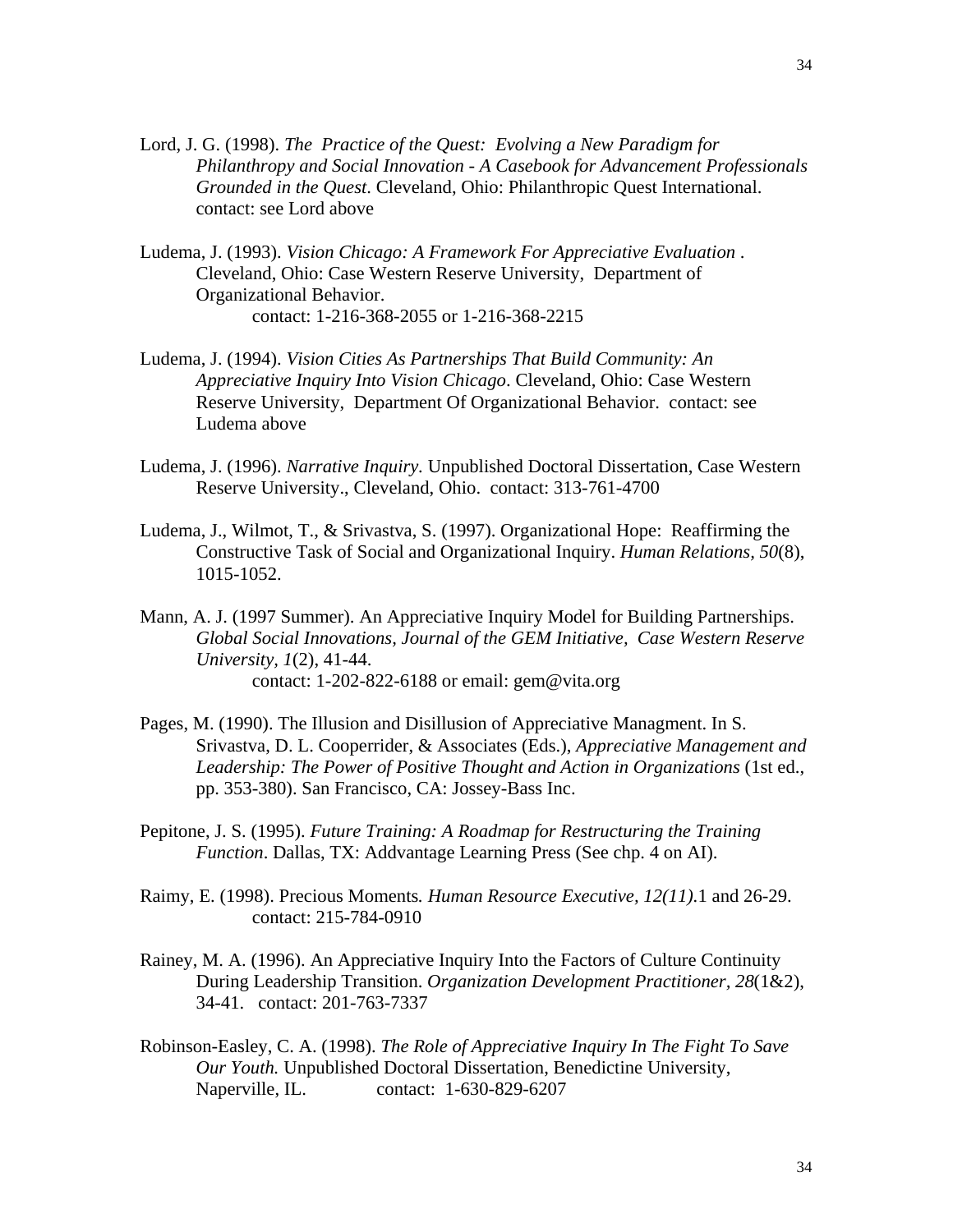- Lord, J. G. (1998). *The Practice of the Quest: Evolving a New Paradigm for Philanthropy and Social Innovation - A Casebook for Advancement Professionals Grounded in the Quest*. Cleveland, Ohio: Philanthropic Quest International. contact: see Lord above
- Ludema, J. (1993). *Vision Chicago: A Framework For Appreciative Evaluation* . Cleveland, Ohio: Case Western Reserve University, Department of Organizational Behavior. contact: 1-216-368-2055 or 1-216-368-2215
- Ludema, J. (1994). *Vision Cities As Partnerships That Build Community: An Appreciative Inquiry Into Vision Chicago*. Cleveland, Ohio: Case Western Reserve University, Department Of Organizational Behavior. contact: see Ludema above
- Ludema, J. (1996). *Narrative Inquiry.* Unpublished Doctoral Dissertation, Case Western Reserve University., Cleveland, Ohio. contact: 313-761-4700
- Ludema, J., Wilmot, T., & Srivastva, S. (1997). Organizational Hope: Reaffirming the Constructive Task of Social and Organizational Inquiry. *Human Relations, 50*(8), 1015-1052.
- Mann, A. J. (1997 Summer). An Appreciative Inquiry Model for Building Partnerships. *Global Social Innovations, Journal of the GEM Initiative, Case Western Reserve University, 1*(2), 41-44. contact: 1-202-822-6188 or email: gem@vita.org
- Pages, M. (1990). The Illusion and Disillusion of Appreciative Managment. In S. Srivastva, D. L. Cooperrider, & Associates (Eds.), *Appreciative Management and Leadership: The Power of Positive Thought and Action in Organizations* (1st ed., pp. 353-380). San Francisco, CA: Jossey-Bass Inc.
- Pepitone, J. S. (1995). *Future Training: A Roadmap for Restructuring the Training Function*. Dallas, TX: Addvantage Learning Press (See chp. 4 on AI).
- Raimy, E. (1998). Precious Moments*. Human Resource Executive, 12(11).*1 and 26-29. contact: 215-784-0910
- Rainey, M. A. (1996). An Appreciative Inquiry Into the Factors of Culture Continuity During Leadership Transition. *Organization Development Practitioner, 28*(1&2), 34-41. contact: 201-763-7337
- Robinson-Easley, C. A. (1998). *The Role of Appreciative Inquiry In The Fight To Save Our Youth.* Unpublished Doctoral Dissertation, Benedictine University, Naperville, IL. contact: 1-630-829-6207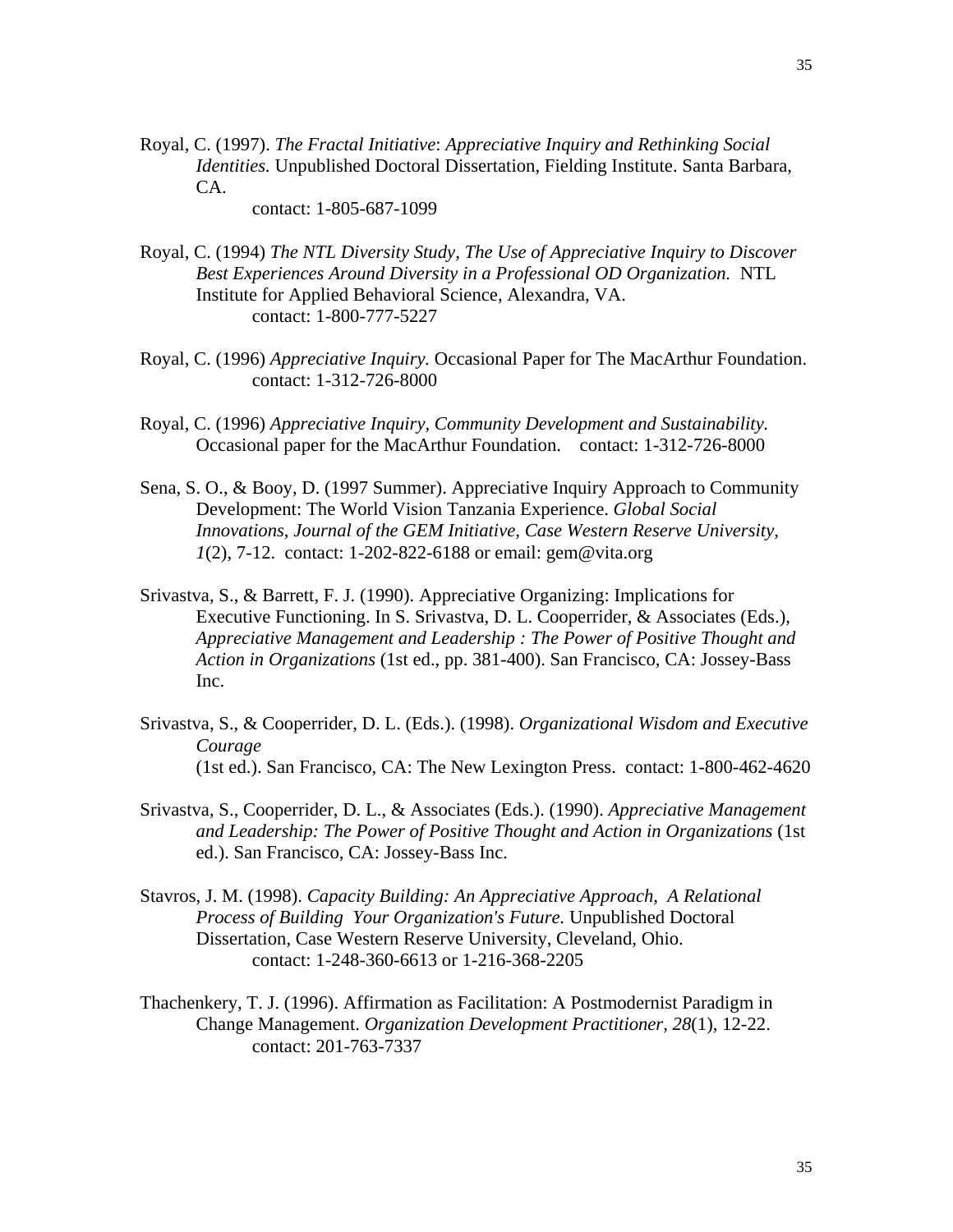Royal, C. (1997). *The Fractal Initiative*: *Appreciative Inquiry and Rethinking Social Identities.* Unpublished Doctoral Dissertation, Fielding Institute. Santa Barbara, CA.

contact: 1-805-687-1099

- Royal, C. (1994) *The NTL Diversity Study, The Use of Appreciative Inquiry to Discover Best Experiences Around Diversity in a Professional OD Organization.* NTL Institute for Applied Behavioral Science, Alexandra, VA. contact: 1-800-777-5227
- Royal, C. (1996) *Appreciative Inquiry.* Occasional Paper for The MacArthur Foundation. contact: 1-312-726-8000
- Royal, C. (1996) *Appreciative Inquiry, Community Development and Sustainability.*  Occasional paper for the MacArthur Foundation. contact: 1-312-726-8000
- Sena, S. O., & Booy, D. (1997 Summer). Appreciative Inquiry Approach to Community Development: The World Vision Tanzania Experience. *Global Social Innovations, Journal of the GEM Initiative, Case Western Reserve University, 1*(2), 7-12. contact: 1-202-822-6188 or email: gem@vita.org
- Srivastva, S., & Barrett, F. J. (1990). Appreciative Organizing: Implications for Executive Functioning. In S. Srivastva, D. L. Cooperrider, & Associates (Eds.), *Appreciative Management and Leadership : The Power of Positive Thought and Action in Organizations* (1st ed., pp. 381-400). San Francisco, CA: Jossey-Bass Inc.
- Srivastva, S., & Cooperrider, D. L. (Eds.). (1998). *Organizational Wisdom and Executive Courage* (1st ed.). San Francisco, CA: The New Lexington Press. contact: 1-800-462-4620
- Srivastva, S., Cooperrider, D. L., & Associates (Eds.). (1990). *Appreciative Management and Leadership: The Power of Positive Thought and Action in Organizations* (1st ed.). San Francisco, CA: Jossey-Bass Inc.
- Stavros, J. M. (1998). *Capacity Building: An Appreciative Approach, A Relational Process of Building Your Organization's Future.* Unpublished Doctoral Dissertation, Case Western Reserve University, Cleveland, Ohio. contact: 1-248-360-6613 or 1-216-368-2205
- Thachenkery, T. J. (1996). Affirmation as Facilitation: A Postmodernist Paradigm in Change Management. *Organization Development Practitioner, 28*(1), 12-22. contact: 201-763-7337